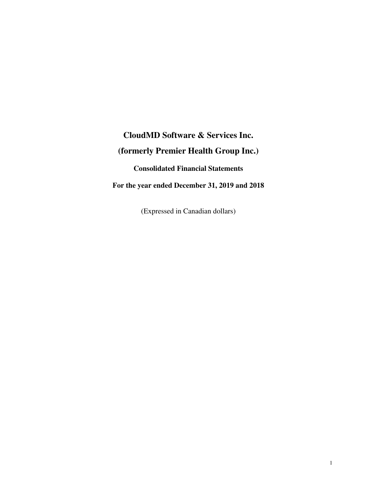# **CloudMD Software & Services Inc. (formerly Premier Health Group Inc.) Consolidated Financial Statements**

# **For the year ended December 31, 2019 and 2018**

(Expressed in Canadian dollars)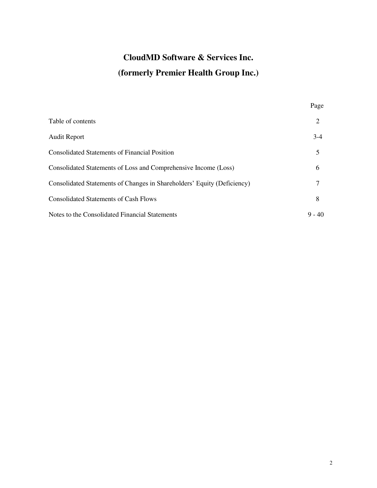# **CloudMD Software & Services Inc. (formerly Premier Health Group Inc.)**

|                                                                         | Page     |
|-------------------------------------------------------------------------|----------|
| Table of contents                                                       | 2        |
| <b>Audit Report</b>                                                     | $3-4$    |
| <b>Consolidated Statements of Financial Position</b>                    | 5        |
| Consolidated Statements of Loss and Comprehensive Income (Loss)         | 6        |
| Consolidated Statements of Changes in Shareholders' Equity (Deficiency) | 7        |
| <b>Consolidated Statements of Cash Flows</b>                            | 8        |
| Notes to the Consolidated Financial Statements                          | $9 - 40$ |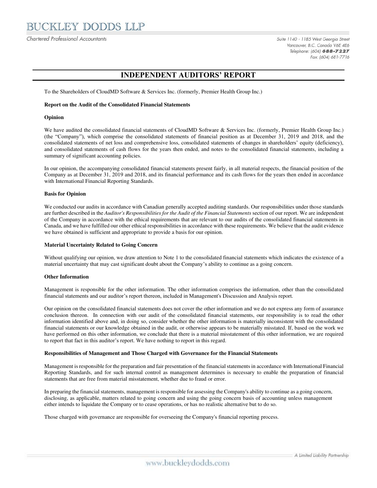Chartered Professional Accountants

# **INDEPENDENT AUDITORS' REPORT**

To the Shareholders of CloudMD Software & Services Inc. (formerly, Premier Health Group Inc.)

#### **Report on the Audit of the Consolidated Financial Statements**

#### **Opinion**

We have audited the consolidated financial statements of CloudMD Software & Services Inc. (formerly, Premier Health Group Inc.) (the "Company"), which comprise the consolidated statements of financial position as at December 31, 2019 and 2018, and the consolidated statements of net loss and comprehensive loss, consolidated statements of changes in shareholders' equity (deficiency), and consolidated statements of cash flows for the years then ended, and notes to the consolidated financial statements, including a summary of significant accounting policies.

In our opinion, the accompanying consolidated financial statements present fairly, in all material respects, the financial position of the Company as at December 31, 2019 and 2018, and its financial performance and its cash flows for the years then ended in accordance with International Financial Reporting Standards.

#### **Basis for Opinion**

We conducted our audits in accordance with Canadian generally accepted auditing standards. Our responsibilities under those standards are further described in the *Auditor's Responsibilities for the Audit of the Financial Statements* section of our report. We are independent of the Company in accordance with the ethical requirements that are relevant to our audits of the consolidated financial statements in Canada, and we have fulfilled our other ethical responsibilities in accordance with these requirements. We believe that the audit evidence we have obtained is sufficient and appropriate to provide a basis for our opinion.

#### **Material Uncertainty Related to Going Concern**

Without qualifying our opinion, we draw attention to Note 1 to the consolidated financial statements which indicates the existence of a material uncertainty that may cast significant doubt about the Company's ability to continue as a going concern.

#### **Other Information**

Management is responsible for the other information. The other information comprises the information, other than the consolidated financial statements and our auditor's report thereon, included in Management's Discussion and Analysis report.

Our opinion on the consolidated financial statements does not cover the other information and we do not express any form of assurance conclusion thereon. In connection with our audit of the consolidated financial statements, our responsibility is to read the other information identified above and, in doing so, consider whether the other information is materially inconsistent with the consolidated financial statements or our knowledge obtained in the audit, or otherwise appears to be materially misstated. If, based on the work we have performed on this other information, we conclude that there is a material misstatement of this other information, we are required to report that fact in this auditor's report. We have nothing to report in this regard.

#### **Responsibilities of Management and Those Charged with Governance for the Financial Statements**

Management is responsible for the preparation and fair presentation of the financial statements in accordance with International Financial Reporting Standards, and for such internal control as management determines is necessary to enable the preparation of financial statements that are free from material misstatement, whether due to fraud or error.

In preparing the financial statements, management is responsible for assessing the Company's ability to continue as a going concern, disclosing, as applicable, matters related to going concern and using the going concern basis of accounting unless management either intends to liquidate the Company or to cease operations, or has no realistic alternative but to do so.

Those charged with governance are responsible for overseeing the Company's financial reporting process.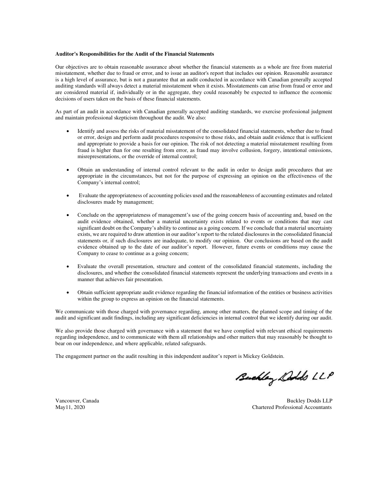#### **Auditor's Responsibilities for the Audit of the Financial Statements**

Our objectives are to obtain reasonable assurance about whether the financial statements as a whole are free from material misstatement, whether due to fraud or error, and to issue an auditor's report that includes our opinion. Reasonable assurance is a high level of assurance, but is not a guarantee that an audit conducted in accordance with Canadian generally accepted auditing standards will always detect a material misstatement when it exists. Misstatements can arise from fraud or error and are considered material if, individually or in the aggregate, they could reasonably be expected to influence the economic decisions of users taken on the basis of these financial statements.

As part of an audit in accordance with Canadian generally accepted auditing standards, we exercise professional judgment and maintain professional skepticism throughout the audit. We also:

- Identify and assess the risks of material misstatement of the consolidated financial statements, whether due to fraud or error, design and perform audit procedures responsive to those risks, and obtain audit evidence that is sufficient and appropriate to provide a basis for our opinion. The risk of not detecting a material misstatement resulting from fraud is higher than for one resulting from error, as fraud may involve collusion, forgery, intentional omissions, misrepresentations, or the override of internal control;
- Obtain an understanding of internal control relevant to the audit in order to design audit procedures that are appropriate in the circumstances, but not for the purpose of expressing an opinion on the effectiveness of the Company's internal control;
- Evaluate the appropriateness of accounting policies used and the reasonableness of accounting estimates and related disclosures made by management;
- Conclude on the appropriateness of management's use of the going concern basis of accounting and, based on the audit evidence obtained, whether a material uncertainty exists related to events or conditions that may cast significant doubt on the Company's ability to continue as a going concern. If we conclude that a material uncertainty exists, we are required to draw attention in our auditor's report to the related disclosures in the consolidated financial statements or, if such disclosures are inadequate, to modify our opinion. Our conclusions are based on the audit evidence obtained up to the date of our auditor's report. However, future events or conditions may cause the Company to cease to continue as a going concern;
- Evaluate the overall presentation, structure and content of the consolidated financial statements, including the disclosures, and whether the consolidated financial statements represent the underlying transactions and events in a manner that achieves fair presentation.
- Obtain sufficient appropriate audit evidence regarding the financial information of the entities or business activities within the group to express an opinion on the financial statements.

We communicate with those charged with governance regarding, among other matters, the planned scope and timing of the audit and significant audit findings, including any significant deficiencies in internal control that we identify during our audit.

We also provide those charged with governance with a statement that we have complied with relevant ethical requirements regarding independence, and to communicate with them all relationships and other matters that may reasonably be thought to bear on our independence, and where applicable, related safeguards.

The engagement partner on the audit resulting in this independent auditor's report is Mickey Goldstein.

Buchley Dolds LLP

Vancouver, Canada Buckley Dodds LLP<br>May11, 2020 Chartered Professional Accountants Chartered Professional Accountants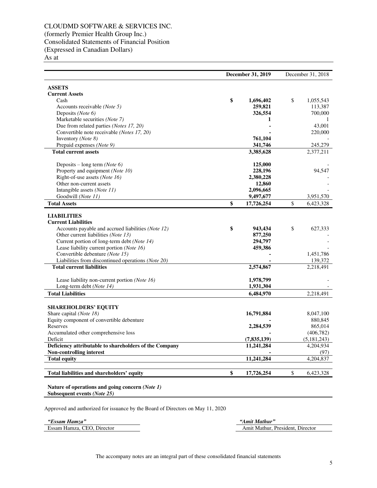As at

| <b>ASSETS</b><br><b>Current Assets</b><br>\$<br>\$<br>Cash<br>1,696,402<br>259,821<br>Accounts receivable (Note 5)<br>Deposits (Note 6)<br>326,554<br>Marketable securities (Note 7)<br>1<br>Due from related parties (Notes 17, 20)<br>Convertible note receivable (Notes 17, 20)<br>Inventory (Note 8)<br>761,104<br>341,746<br>Prepaid expenses (Note 9)<br><b>Total current assets</b><br>3,385,628<br>Deposits – long term (Note 6)<br>125,000<br>Property and equipment (Note 10)<br>228,196<br>Right-of-use assets (Note 16)<br>2,380,228<br>Other non-current assets<br>12,860<br>Intangible assets (Note 11)<br>2,096,665<br>Goodwill (Note 11)<br>9,497,677<br>\$<br>\$<br><b>Total Assets</b><br>17,726,254<br><b>LIABILITIES</b><br><b>Current Liabilities</b><br>\$<br>Accounts payable and accrued liabilities (Note 12)<br>943,434<br>\$<br>877,250<br>Other current liabilities (Note 13)<br>294,797<br>Current portion of long-term debt (Note 14)<br>Lease liability current portion (Note 16)<br>459,386<br>Convertible debenture (Note 15)<br>Liabilities from discontinued operations (Note 20)<br><b>Total current liabilities</b><br>2,574,867<br>1,978,799<br>Lease liability non-current portion (Note 16)<br>Long-term debt (Note 14)<br>1,931,304<br><b>Total Liabilities</b><br>6,484,970<br><b>SHAREHOLDERS' EQUITY</b><br>Share capital (Note 18)<br>16,791,884<br>Equity component of convertible debenture<br>Reserves<br>2,284,539<br>Accumulated other comprehensive loss<br>(7, 835, 139)<br>Deficit<br>(5,181,243)<br>Deficiency attributable to shareholders of the Company<br>11,241,284<br>4,204,934<br>Non-controlling interest<br><b>Total equity</b><br>11,241,284 |                                            | December 31, 2019 |            | December 31, 2018 |            |  |  |
|--------------------------------------------------------------------------------------------------------------------------------------------------------------------------------------------------------------------------------------------------------------------------------------------------------------------------------------------------------------------------------------------------------------------------------------------------------------------------------------------------------------------------------------------------------------------------------------------------------------------------------------------------------------------------------------------------------------------------------------------------------------------------------------------------------------------------------------------------------------------------------------------------------------------------------------------------------------------------------------------------------------------------------------------------------------------------------------------------------------------------------------------------------------------------------------------------------------------------------------------------------------------------------------------------------------------------------------------------------------------------------------------------------------------------------------------------------------------------------------------------------------------------------------------------------------------------------------------------------------------------------------------------------------------------------------------------------------|--------------------------------------------|-------------------|------------|-------------------|------------|--|--|
|                                                                                                                                                                                                                                                                                                                                                                                                                                                                                                                                                                                                                                                                                                                                                                                                                                                                                                                                                                                                                                                                                                                                                                                                                                                                                                                                                                                                                                                                                                                                                                                                                                                                                                              |                                            |                   |            |                   |            |  |  |
|                                                                                                                                                                                                                                                                                                                                                                                                                                                                                                                                                                                                                                                                                                                                                                                                                                                                                                                                                                                                                                                                                                                                                                                                                                                                                                                                                                                                                                                                                                                                                                                                                                                                                                              |                                            |                   |            |                   |            |  |  |
|                                                                                                                                                                                                                                                                                                                                                                                                                                                                                                                                                                                                                                                                                                                                                                                                                                                                                                                                                                                                                                                                                                                                                                                                                                                                                                                                                                                                                                                                                                                                                                                                                                                                                                              |                                            |                   |            |                   | 1,055,543  |  |  |
|                                                                                                                                                                                                                                                                                                                                                                                                                                                                                                                                                                                                                                                                                                                                                                                                                                                                                                                                                                                                                                                                                                                                                                                                                                                                                                                                                                                                                                                                                                                                                                                                                                                                                                              |                                            |                   |            |                   | 113,387    |  |  |
|                                                                                                                                                                                                                                                                                                                                                                                                                                                                                                                                                                                                                                                                                                                                                                                                                                                                                                                                                                                                                                                                                                                                                                                                                                                                                                                                                                                                                                                                                                                                                                                                                                                                                                              |                                            |                   |            |                   | 700,000    |  |  |
|                                                                                                                                                                                                                                                                                                                                                                                                                                                                                                                                                                                                                                                                                                                                                                                                                                                                                                                                                                                                                                                                                                                                                                                                                                                                                                                                                                                                                                                                                                                                                                                                                                                                                                              |                                            |                   |            |                   | 1          |  |  |
|                                                                                                                                                                                                                                                                                                                                                                                                                                                                                                                                                                                                                                                                                                                                                                                                                                                                                                                                                                                                                                                                                                                                                                                                                                                                                                                                                                                                                                                                                                                                                                                                                                                                                                              |                                            |                   |            |                   | 43,001     |  |  |
|                                                                                                                                                                                                                                                                                                                                                                                                                                                                                                                                                                                                                                                                                                                                                                                                                                                                                                                                                                                                                                                                                                                                                                                                                                                                                                                                                                                                                                                                                                                                                                                                                                                                                                              |                                            |                   |            |                   | 220,000    |  |  |
|                                                                                                                                                                                                                                                                                                                                                                                                                                                                                                                                                                                                                                                                                                                                                                                                                                                                                                                                                                                                                                                                                                                                                                                                                                                                                                                                                                                                                                                                                                                                                                                                                                                                                                              |                                            |                   |            |                   |            |  |  |
|                                                                                                                                                                                                                                                                                                                                                                                                                                                                                                                                                                                                                                                                                                                                                                                                                                                                                                                                                                                                                                                                                                                                                                                                                                                                                                                                                                                                                                                                                                                                                                                                                                                                                                              |                                            |                   |            |                   | 245,279    |  |  |
|                                                                                                                                                                                                                                                                                                                                                                                                                                                                                                                                                                                                                                                                                                                                                                                                                                                                                                                                                                                                                                                                                                                                                                                                                                                                                                                                                                                                                                                                                                                                                                                                                                                                                                              |                                            |                   |            |                   | 2,377,211  |  |  |
|                                                                                                                                                                                                                                                                                                                                                                                                                                                                                                                                                                                                                                                                                                                                                                                                                                                                                                                                                                                                                                                                                                                                                                                                                                                                                                                                                                                                                                                                                                                                                                                                                                                                                                              |                                            |                   |            |                   |            |  |  |
|                                                                                                                                                                                                                                                                                                                                                                                                                                                                                                                                                                                                                                                                                                                                                                                                                                                                                                                                                                                                                                                                                                                                                                                                                                                                                                                                                                                                                                                                                                                                                                                                                                                                                                              |                                            |                   |            |                   | 94,547     |  |  |
|                                                                                                                                                                                                                                                                                                                                                                                                                                                                                                                                                                                                                                                                                                                                                                                                                                                                                                                                                                                                                                                                                                                                                                                                                                                                                                                                                                                                                                                                                                                                                                                                                                                                                                              |                                            |                   |            |                   |            |  |  |
|                                                                                                                                                                                                                                                                                                                                                                                                                                                                                                                                                                                                                                                                                                                                                                                                                                                                                                                                                                                                                                                                                                                                                                                                                                                                                                                                                                                                                                                                                                                                                                                                                                                                                                              |                                            |                   |            |                   |            |  |  |
|                                                                                                                                                                                                                                                                                                                                                                                                                                                                                                                                                                                                                                                                                                                                                                                                                                                                                                                                                                                                                                                                                                                                                                                                                                                                                                                                                                                                                                                                                                                                                                                                                                                                                                              |                                            |                   |            |                   |            |  |  |
|                                                                                                                                                                                                                                                                                                                                                                                                                                                                                                                                                                                                                                                                                                                                                                                                                                                                                                                                                                                                                                                                                                                                                                                                                                                                                                                                                                                                                                                                                                                                                                                                                                                                                                              |                                            |                   |            |                   | 3,951,570  |  |  |
|                                                                                                                                                                                                                                                                                                                                                                                                                                                                                                                                                                                                                                                                                                                                                                                                                                                                                                                                                                                                                                                                                                                                                                                                                                                                                                                                                                                                                                                                                                                                                                                                                                                                                                              |                                            |                   |            |                   | 6,423,328  |  |  |
|                                                                                                                                                                                                                                                                                                                                                                                                                                                                                                                                                                                                                                                                                                                                                                                                                                                                                                                                                                                                                                                                                                                                                                                                                                                                                                                                                                                                                                                                                                                                                                                                                                                                                                              |                                            |                   |            |                   |            |  |  |
|                                                                                                                                                                                                                                                                                                                                                                                                                                                                                                                                                                                                                                                                                                                                                                                                                                                                                                                                                                                                                                                                                                                                                                                                                                                                                                                                                                                                                                                                                                                                                                                                                                                                                                              |                                            |                   |            |                   |            |  |  |
|                                                                                                                                                                                                                                                                                                                                                                                                                                                                                                                                                                                                                                                                                                                                                                                                                                                                                                                                                                                                                                                                                                                                                                                                                                                                                                                                                                                                                                                                                                                                                                                                                                                                                                              |                                            |                   |            |                   | 627,333    |  |  |
|                                                                                                                                                                                                                                                                                                                                                                                                                                                                                                                                                                                                                                                                                                                                                                                                                                                                                                                                                                                                                                                                                                                                                                                                                                                                                                                                                                                                                                                                                                                                                                                                                                                                                                              |                                            |                   |            |                   |            |  |  |
|                                                                                                                                                                                                                                                                                                                                                                                                                                                                                                                                                                                                                                                                                                                                                                                                                                                                                                                                                                                                                                                                                                                                                                                                                                                                                                                                                                                                                                                                                                                                                                                                                                                                                                              |                                            |                   |            |                   |            |  |  |
|                                                                                                                                                                                                                                                                                                                                                                                                                                                                                                                                                                                                                                                                                                                                                                                                                                                                                                                                                                                                                                                                                                                                                                                                                                                                                                                                                                                                                                                                                                                                                                                                                                                                                                              |                                            |                   |            |                   |            |  |  |
|                                                                                                                                                                                                                                                                                                                                                                                                                                                                                                                                                                                                                                                                                                                                                                                                                                                                                                                                                                                                                                                                                                                                                                                                                                                                                                                                                                                                                                                                                                                                                                                                                                                                                                              |                                            |                   |            |                   | 1,451,786  |  |  |
|                                                                                                                                                                                                                                                                                                                                                                                                                                                                                                                                                                                                                                                                                                                                                                                                                                                                                                                                                                                                                                                                                                                                                                                                                                                                                                                                                                                                                                                                                                                                                                                                                                                                                                              |                                            |                   |            |                   | 139,372    |  |  |
|                                                                                                                                                                                                                                                                                                                                                                                                                                                                                                                                                                                                                                                                                                                                                                                                                                                                                                                                                                                                                                                                                                                                                                                                                                                                                                                                                                                                                                                                                                                                                                                                                                                                                                              |                                            |                   |            |                   | 2,218,491  |  |  |
|                                                                                                                                                                                                                                                                                                                                                                                                                                                                                                                                                                                                                                                                                                                                                                                                                                                                                                                                                                                                                                                                                                                                                                                                                                                                                                                                                                                                                                                                                                                                                                                                                                                                                                              |                                            |                   |            |                   |            |  |  |
|                                                                                                                                                                                                                                                                                                                                                                                                                                                                                                                                                                                                                                                                                                                                                                                                                                                                                                                                                                                                                                                                                                                                                                                                                                                                                                                                                                                                                                                                                                                                                                                                                                                                                                              |                                            |                   |            |                   |            |  |  |
|                                                                                                                                                                                                                                                                                                                                                                                                                                                                                                                                                                                                                                                                                                                                                                                                                                                                                                                                                                                                                                                                                                                                                                                                                                                                                                                                                                                                                                                                                                                                                                                                                                                                                                              |                                            |                   |            |                   | 2,218,491  |  |  |
|                                                                                                                                                                                                                                                                                                                                                                                                                                                                                                                                                                                                                                                                                                                                                                                                                                                                                                                                                                                                                                                                                                                                                                                                                                                                                                                                                                                                                                                                                                                                                                                                                                                                                                              |                                            |                   |            |                   |            |  |  |
|                                                                                                                                                                                                                                                                                                                                                                                                                                                                                                                                                                                                                                                                                                                                                                                                                                                                                                                                                                                                                                                                                                                                                                                                                                                                                                                                                                                                                                                                                                                                                                                                                                                                                                              |                                            |                   |            |                   | 8,047,100  |  |  |
|                                                                                                                                                                                                                                                                                                                                                                                                                                                                                                                                                                                                                                                                                                                                                                                                                                                                                                                                                                                                                                                                                                                                                                                                                                                                                                                                                                                                                                                                                                                                                                                                                                                                                                              |                                            |                   |            |                   | 880,845    |  |  |
|                                                                                                                                                                                                                                                                                                                                                                                                                                                                                                                                                                                                                                                                                                                                                                                                                                                                                                                                                                                                                                                                                                                                                                                                                                                                                                                                                                                                                                                                                                                                                                                                                                                                                                              |                                            |                   |            |                   | 865,014    |  |  |
|                                                                                                                                                                                                                                                                                                                                                                                                                                                                                                                                                                                                                                                                                                                                                                                                                                                                                                                                                                                                                                                                                                                                                                                                                                                                                                                                                                                                                                                                                                                                                                                                                                                                                                              |                                            |                   |            |                   | (406, 782) |  |  |
|                                                                                                                                                                                                                                                                                                                                                                                                                                                                                                                                                                                                                                                                                                                                                                                                                                                                                                                                                                                                                                                                                                                                                                                                                                                                                                                                                                                                                                                                                                                                                                                                                                                                                                              |                                            |                   |            |                   |            |  |  |
|                                                                                                                                                                                                                                                                                                                                                                                                                                                                                                                                                                                                                                                                                                                                                                                                                                                                                                                                                                                                                                                                                                                                                                                                                                                                                                                                                                                                                                                                                                                                                                                                                                                                                                              |                                            |                   |            |                   |            |  |  |
|                                                                                                                                                                                                                                                                                                                                                                                                                                                                                                                                                                                                                                                                                                                                                                                                                                                                                                                                                                                                                                                                                                                                                                                                                                                                                                                                                                                                                                                                                                                                                                                                                                                                                                              |                                            |                   |            |                   | (97)       |  |  |
|                                                                                                                                                                                                                                                                                                                                                                                                                                                                                                                                                                                                                                                                                                                                                                                                                                                                                                                                                                                                                                                                                                                                                                                                                                                                                                                                                                                                                                                                                                                                                                                                                                                                                                              |                                            |                   |            |                   | 4,204,837  |  |  |
|                                                                                                                                                                                                                                                                                                                                                                                                                                                                                                                                                                                                                                                                                                                                                                                                                                                                                                                                                                                                                                                                                                                                                                                                                                                                                                                                                                                                                                                                                                                                                                                                                                                                                                              | Total liabilities and shareholders' equity | \$                | 17,726,254 | \$                | 6,423,328  |  |  |

**Subsequent events** *(Note 25)*

Approved and authorized for issuance by the Board of Directors on May 11, 2020

| "Essam Hamza"                   | <b>Mathur</b><br>"Amit                 |
|---------------------------------|----------------------------------------|
| Essam Hamza, CEO.<br>. Director | Director<br>President.<br>Amıt Mathur. |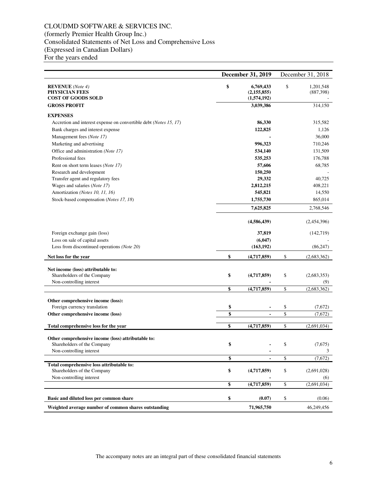# CLOUDMD SOFTWARE & SERVICES INC. (formerly Premier Health Group Inc.) Consolidated Statements of Net Loss and Comprehensive Loss (Expressed in Canadian Dollars) For the years ended

|                                                                            | December 31, 2019                | December 31, 2018             |
|----------------------------------------------------------------------------|----------------------------------|-------------------------------|
| <b>REVENUE</b> (Note 4)<br><b>PHYSICIAN FEES</b>                           | \$<br>6,769,433<br>(2, 155, 855) | \$<br>1,201,548<br>(887, 398) |
| <b>COST OF GOODS SOLD</b>                                                  | (1,574,192)                      |                               |
| <b>GROSS PROFIT</b>                                                        | 3,039,386                        | 314,150                       |
| <b>EXPENSES</b>                                                            |                                  |                               |
| Accretion and interest expense on convertible debt ( <i>Notes 15, 17</i> ) | 86,330                           | 315,582                       |
| Bank charges and interest expense                                          | 122,825                          | 1,126                         |
| Management fees (Note 17)                                                  |                                  | 36,000                        |
| Marketing and advertising                                                  | 996,323                          | 710,246                       |
| Office and administration (Note 17)                                        | 534,140                          | 131,509                       |
| Professional fees                                                          | 535,253                          | 176,788                       |
| Rent on short term leases (Note 17)                                        | 57,606                           | 68,785                        |
| Research and development                                                   | 150,250                          |                               |
| Transfer agent and regulatory fees                                         | 29,332                           | 40,725                        |
| Wages and salaries (Note 17)                                               | 2,812,215                        | 408,221                       |
| Amortization (Notes 10, 11, 16)                                            | 545,821                          | 14,550                        |
| Stock-based compensation (Notes 17, 18)                                    | 1,755,730                        | 865,014                       |
|                                                                            | 7,625,825                        | 2,768,546                     |
|                                                                            | (4,586,439)                      | (2,454,396)                   |
| Foreign exchange gain (loss)                                               | 37,819                           | (142,719)                     |
| Loss on sale of capital assets                                             | (6,047)                          |                               |
| Loss from discontinued operations (Note 20)                                | (163, 192)                       | (86, 247)                     |
| Net loss for the year                                                      | \$<br>(4,717,859)                | \$<br>(2,683,362)             |
|                                                                            |                                  |                               |
| Net income (loss) attributable to:                                         |                                  |                               |
| Shareholders of the Company                                                | \$<br>(4,717,859)                | \$<br>(2,683,353)             |
| Non-controlling interest                                                   | \$<br>(4,717,859)                | \$<br>(2,683,362)             |
|                                                                            |                                  |                               |
| Other comprehensive income (loss):                                         |                                  |                               |
| Foreign currency translation                                               | \$                               | \$<br>(7,672)                 |
| Other comprehensive income (loss)                                          | \$<br>$\blacksquare$             | \$<br>(7,672)                 |
| Total comprehensive loss for the year                                      | \$<br>(4,717,859)                | \$<br>(2,691,034)             |
|                                                                            |                                  |                               |
| Other comprehensive income (loss) attributable to:                         |                                  |                               |
| Shareholders of the Company                                                | \$                               | \$<br>(7,675)                 |
| Non-controlling interest                                                   |                                  | 3                             |
|                                                                            | \$<br>$\blacksquare$             | \$<br>(7,672)                 |
| Total comprehensive loss attributable to:<br>Shareholders of the Company   | \$<br>(4,717,859)                | \$<br>(2,691,028)             |
| Non-controlling interest                                                   |                                  | (6)                           |
|                                                                            | \$<br>(4,717,859)                | \$<br>(2,691,034)             |
|                                                                            |                                  |                               |
| Basic and diluted loss per common share                                    | \$<br>(0.07)                     | \$<br>(0.06)                  |
| Weighted average number of common shares outstanding                       | 71,965,750                       | 46,249,456                    |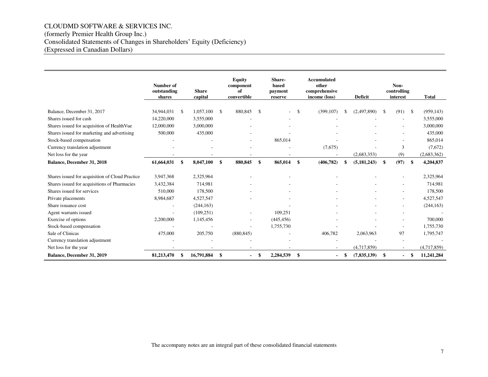# CLOUDMD SOFTWARE & SERVICES INC. (formerly Premier Health Group Inc.) Consolidated Statements of Changes in Shareholders' Equity (Deficiency) (Expressed in Canadian Dollars)

|                                                 | Number of<br>outstanding<br>shares |     | <b>Share</b><br>capital  |              | <b>Equity</b><br>component<br>of<br>convertible |                    | Share-<br>based<br>payment<br>reserve |     | <b>Accumulated</b><br>other<br>comprehensive<br>income (loss) |    | <b>Deficit</b> |               | Non-<br>controlling<br>interest | <b>Total</b>     |
|-------------------------------------------------|------------------------------------|-----|--------------------------|--------------|-------------------------------------------------|--------------------|---------------------------------------|-----|---------------------------------------------------------------|----|----------------|---------------|---------------------------------|------------------|
| Balance, December 31, 2017                      | 34,944,031                         | -\$ | 1,057,100                | $\mathbb{S}$ | 880,845                                         | $\mathbf{\hat{S}}$ |                                       | -\$ | (399, 107)                                                    | £. | (2,497,890)    | $\mathbf{\$}$ | (91)                            | \$<br>(959, 143) |
| Shares issued for cash                          | 14,220,000                         |     | 3,555,000                |              |                                                 |                    |                                       |     |                                                               |    |                |               |                                 | 3,555,000        |
| Shares issued for acquisition of HealthVue      | 12,000,000                         |     | 3,000,000                |              |                                                 |                    |                                       |     |                                                               |    |                |               |                                 | 3,000,000        |
| Shares issued for marketing and advertising     | 500,000                            |     | 435,000                  |              |                                                 |                    |                                       |     |                                                               |    |                |               |                                 | 435,000          |
| Stock-based compensation                        |                                    |     |                          |              |                                                 |                    | 865,014                               |     |                                                               |    |                |               |                                 | 865,014          |
| Currency translation adjustment                 |                                    |     |                          |              |                                                 |                    |                                       |     | (7,675)                                                       |    |                |               | 3                               | (7,672)          |
| Net loss for the year                           |                                    |     |                          |              |                                                 |                    |                                       |     |                                                               |    | (2,683,353)    |               | (9)                             | (2,683,362)      |
| Balance, December 31, 2018                      | 61,664,031                         | -S  | 8,047,100                | \$           | 880,845                                         | \$                 | 865,014                               | \$  | (406, 782)                                                    |    | (5, 181, 243)  | \$            | (97)                            | \$<br>4,204,837  |
| Shares issued for acquisition of Cloud Practice | 3,947,368                          |     | 2,325,964                |              |                                                 |                    |                                       |     |                                                               |    |                |               |                                 | 2,325,964        |
| Shares issued for acquisitions of Pharmacies    | 3,432,384                          |     | 714,981                  |              |                                                 |                    |                                       |     |                                                               |    |                |               |                                 | 714,981          |
| Shares issued for services                      | 510,000                            |     | 178,500                  |              |                                                 |                    |                                       |     |                                                               |    |                |               |                                 | 178,500          |
| Private placements                              | 8,984,687                          |     | 4,527,547                |              |                                                 |                    |                                       |     |                                                               |    |                |               |                                 | 4,527,547        |
| Share issuance cost                             |                                    |     | (244, 163)               |              |                                                 |                    |                                       |     |                                                               |    |                |               |                                 | (244, 163)       |
| Agent warrants issued                           |                                    |     | (109, 251)               |              |                                                 |                    | 109,251                               |     |                                                               |    |                |               |                                 |                  |
| Exercise of options                             | 2,200,000                          |     | 1,145,456                |              |                                                 |                    | (445, 456)                            |     |                                                               |    |                |               |                                 | 700,000          |
| Stock-based compensation                        |                                    |     |                          |              |                                                 |                    | 1,755,730                             |     |                                                               |    |                |               |                                 | 1,755,730        |
| Sale of Clinicas                                | 475,000                            |     | 205,750                  |              | (880, 845)                                      |                    |                                       |     | 406,782                                                       |    | 2,063,963      |               | 97                              | 1,795,747        |
| Currency translation adjustment                 |                                    |     |                          |              |                                                 |                    |                                       |     |                                                               |    |                |               |                                 |                  |
| Net loss for the year                           |                                    |     | $\overline{\phantom{a}}$ |              |                                                 |                    |                                       |     | $\overline{\phantom{a}}$                                      |    | (4,717,859)    |               |                                 | (4,717,859)      |
| Balance, December 31, 2019                      | 81,213,470                         |     | 16,791,884               | \$           |                                                 | S,                 | 2,284,539                             | \$  | $\blacksquare$                                                |    | (7, 835, 139)  | \$            |                                 | \$<br>11,241,284 |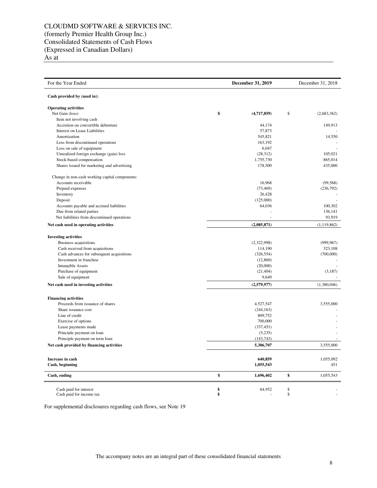For the Year Ended **December 31, 2019** December 31, 2018 **Cash provided by (used in): Operating activities**  Net Gain (loss) **\$ (4,717,859)** \$ (2,683,362) Item not involving cash Accretion on convertible debenture 149,913 Interest on Lease Liabilities 57.873 Amortization 14,550 Loss from discontinued operations 163,192 Loss on sale of equipment  $6,047$ Unrealized foreign exchange (gain) loss (28,312) 105,021 Stock-based compensation 865,014 and 865,014 and 865,014 and 865,014 and 865,014 and 865,014 and 865,014 and 865,014 Shares issued for marketing and advertising 178,500 435,000 435,000 435,000 435,000 435,000 435,000 435,000 435,000 435,000 435,000 435,000 435,000 435,000 435,000 435,000 435,000 435,000 435,000 435,000 435,000 435,000 43 Change in non-cash working capital components: Accounts receivable (99,568) (99,568) Prepaid expenses (73,469) (236,792)  $\frac{26,428}{ }$  $\text{Deposit}$  (125,000)  $\blacksquare$ Accounts payable and accrued liabilities 64,036 100,302 Due from related parties 136,141 Net liabilities from discontinued operations and the state of the state of the state of the state of the state of the state of the state of the state of the state of the state of the state of the state of the state of the **Net cash used in operating activities (2,085,871)** (1,119,862) **Investing activities**  Business acquisitions (2,322,998) (999,967) Cash received from acquisitions 114,190 323,108 Cash advances for subsequent acquisitions (700,000) (700,000) Investment in franchise (12,860) Intangible Assets (20,000) Purchase of equipment (21,404) (3,187) Sale of equipment 9,649 **Net cash used in investing activities (2,579,977)** (1,380,046) **Financing activities**  Proceeds from issuance of shares 4,527,547 3,555,000 Share issuance cost (244,163)  $\qquad \qquad$  -Line of credit and the set of credit and the set of credit and the set of credit and the set of credit and the set of credit and the set of credit and the set of credit and the set of credit and the set of credit and the s Exercise of options **Exercise** of options **Figure 2.1** and  $\overline{a}$  and  $\overline{b}$  and  $\overline{c}$  and  $\overline{d}$  and  $\overline{b}$  and  $\overline{a}$  and  $\overline{a}$  and  $\overline{a}$  and  $\overline{a}$  and  $\overline{a}$  and  $\overline{a}$  and  $\overline{a}$  and  $\overline{a}$ Lease payments made  $(337,451)$ Principle payment on loan (5,235)  $(5,235)$ Principle payment on term loan (143,743) - (143,743) **Net cash provided by financing activities 5,306,707** 3,555,000 **Increase in cash 640,859 1,055,092 1,055,092 Cash, beginning 1,055,543** 451 **Cash, ending \$ 1,696,402 \$** 1,055,543 Cash paid for interest Cash paid for income tax **\$ \$**  64,952 - \$ \$ - -

For supplemental disclosures regarding cash flows, see Note 19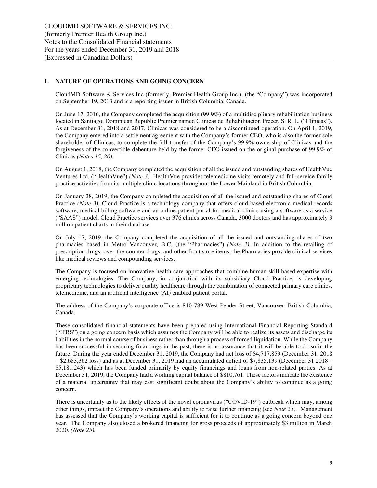# **1. NATURE OF OPERATIONS AND GOING CONCERN**

CloudMD Software & Services Inc (formerly, Premier Health Group Inc.). (the "Company") was incorporated on September 19, 2013 and is a reporting issuer in British Columbia, Canada.

On June 17, 2016, the Company completed the acquisition (99.9%) of a multidisciplinary rehabilitation business located in Santiago, Dominican Republic Premier named Clinicas de Rehabilitacion Precer, S. R. L. ("Clinicas"). As at December 31, 2018 and 2017, Clinicas was considered to be a discontinued operation. On April 1, 2019, the Company entered into a settlement agreement with the Company's former CEO, who is also the former sole shareholder of Clinicas, to complete the full transfer of the Company's 99.9% ownership of Clinicas and the forgiveness of the convertible debenture held by the former CEO issued on the original purchase of 99.9% of Clinicas *(Notes 15, 20).* 

On August 1, 2018, the Company completed the acquisition of all the issued and outstanding shares of HealthVue Ventures Ltd. ("HealthVue") *(Note 3).* HealthVue provides telemedicine visits remotely and full-service family practice activities from its multiple clinic locations throughout the Lower Mainland in British Columbia.

On January 28, 2019, the Company completed the acquisition of all the issued and outstanding shares of Cloud Practice *(Note 3)*. Cloud Practice is a technology company that offers cloud-based electronic medical records software, medical billing software and an online patient portal for medical clinics using a software as a service ("SAAS") model. Cloud Practice services over 376 clinics across Canada, 3000 doctors and has approximately 3 million patient charts in their database.

On July 17, 2019, the Company completed the acquisition of all the issued and outstanding shares of two pharmacies based in Metro Vancouver, B.C. (the "Pharmacies") *(Note 3).* In addition to the retailing of prescription drugs, over-the-counter drugs, and other front store items, the Pharmacies provide clinical services like medical reviews and compounding services.

The Company is focused on innovative health care approaches that combine human skill-based expertise with emerging technologies. The Company, in conjunction with its subsidiary Cloud Practice, is developing proprietary technologies to deliver quality healthcare through the combination of connected primary care clinics, telemedicine, and an artificial intelligence (AI) enabled patient portal.

The address of the Company's corporate office is 810-789 West Pender Street, Vancouver, British Columbia, Canada.

These consolidated financial statements have been prepared using International Financial Reporting Standard ("IFRS") on a going concern basis which assumes the Company will be able to realize its assets and discharge its liabilities in the normal course of business rather than through a process of forced liquidation. While the Company has been successful in securing financings in the past, there is no assurance that it will be able to do so in the future. During the year ended December 31, 2019, the Company had net loss of \$4,717,859 (December 31, 2018  $-$  \$2,683,362 loss) and as at December 31, 2019 had an accumulated deficit of \$7,835,139 (December 31 2018 – \$5,181,243) which has been funded primarily by equity financings and loans from non-related parties. As at December 31, 2019, the Company had a working capital balance of \$810,761. These factors indicate the existence of a material uncertainty that may cast significant doubt about the Company's ability to continue as a going concern.

There is uncertainty as to the likely effects of the novel coronavirus ("COVID-19") outbreak which may, among other things, impact the Company's operations and ability to raise further financing (see *Note 25).* Management has assessed that the Company's working capital is sufficient for it to continue as a going concern beyond one year. The Company also closed a brokered financing for gross proceeds of approximately \$3 million in March 2020*. (Note 25).*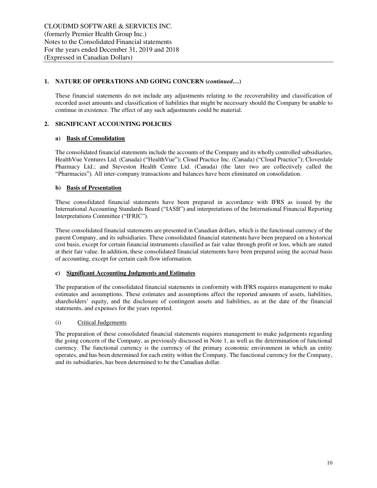# **1. NATURE OF OPERATIONS AND GOING CONCERN (***continued…***)**

These financial statements do not include any adjustments relating to the recoverability and classification of recorded asset amounts and classification of liabilities that might be necessary should the Company be unable to continue in existence. The effect of any such adjustments could be material.

# **2. SIGNIFICANT ACCOUNTING POLICIES**

# **a) Basis of Consolidation**

The consolidated financial statements include the accounts of the Company and its wholly controlled subsidiaries, HealthVue Ventures Ltd. (Canada) ("HealthVue"); Cloud Practice Inc. (Canada) ("Cloud Practice"); Cloverdale Pharmacy Ltd.; and Steveston Health Centre Ltd. (Canada) (the later two are collectively called the "Pharmacies"). All inter-company transactions and balances have been eliminated on consolidation.

# **b) Basis of Presentation**

These consolidated financial statements have been prepared in accordance with IFRS as issued by the International Accounting Standards Board ("IASB") and interpretations of the International Financial Reporting Interpretations Committee ("IFRIC").

These consolidated financial statements are presented in Canadian dollars, which is the functional currency of the parent Company, and its subsidiaries. These consolidated financial statements have been prepared on a historical cost basis, except for certain financial instruments classified as fair value through profit or loss, which are stated at their fair value. In addition, these consolidated financial statements have been prepared using the accrual basis of accounting, except for certain cash flow information.

# **c) Significant Accounting Judgments and Estimates**

The preparation of the consolidated financial statements in conformity with IFRS requires management to make estimates and assumptions. These estimates and assumptions affect the reported amounts of assets, liabilities, shareholders' equity, and the disclosure of contingent assets and liabilities, as at the date of the financial statements, and expenses for the years reported.

## (i) Critical Judgements

The preparation of these consolidated financial statements requires management to make judgements regarding the going concern of the Company, as previously discussed in Note 1, as well as the determination of functional currency. The functional currency is the currency of the primary economic environment in which an entity operates, and has been determined for each entity within the Company. The functional currency for the Company, and its subsidiaries, has been determined to be the Canadian dollar.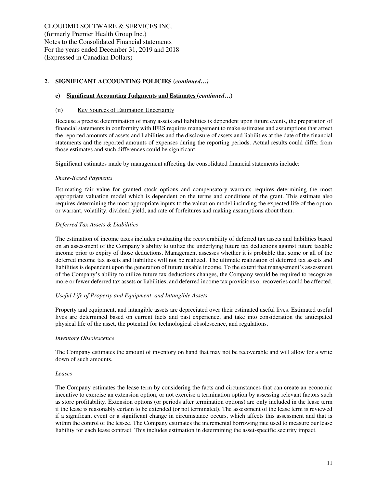## **c) Significant Accounting Judgments and Estimates (***continued…***)**

## (ii) Key Sources of Estimation Uncertainty

Because a precise determination of many assets and liabilities is dependent upon future events, the preparation of financial statements in conformity with IFRS requires management to make estimates and assumptions that affect the reported amounts of assets and liabilities and the disclosure of assets and liabilities at the date of the financial statements and the reported amounts of expenses during the reporting periods. Actual results could differ from those estimates and such differences could be significant.

Significant estimates made by management affecting the consolidated financial statements include:

## *Share-Based Payments*

Estimating fair value for granted stock options and compensatory warrants requires determining the most appropriate valuation model which is dependent on the terms and conditions of the grant. This estimate also requires determining the most appropriate inputs to the valuation model including the expected life of the option or warrant, volatility, dividend yield, and rate of forfeitures and making assumptions about them.

## *Deferred Tax Assets & Liabilities*

The estimation of income taxes includes evaluating the recoverability of deferred tax assets and liabilities based on an assessment of the Company's ability to utilize the underlying future tax deductions against future taxable income prior to expiry of those deductions. Management assesses whether it is probable that some or all of the deferred income tax assets and liabilities will not be realized. The ultimate realization of deferred tax assets and liabilities is dependent upon the generation of future taxable income. To the extent that management's assessment of the Company's ability to utilize future tax deductions changes, the Company would be required to recognize more or fewer deferred tax assets or liabilities, and deferred income tax provisions or recoveries could be affected.

# *Useful Life of Property and Equipment, and Intangible Assets*

Property and equipment, and intangible assets are depreciated over their estimated useful lives. Estimated useful lives are determined based on current facts and past experience, and take into consideration the anticipated physical life of the asset, the potential for technological obsolescence, and regulations.

#### *Inventory Obsolescence*

The Company estimates the amount of inventory on hand that may not be recoverable and will allow for a write down of such amounts.

#### *Leases*

The Company estimates the lease term by considering the facts and circumstances that can create an economic incentive to exercise an extension option, or not exercise a termination option by assessing relevant factors such as store profitability. Extension options (or periods after termination options) are only included in the lease term if the lease is reasonably certain to be extended (or not terminated). The assessment of the lease term is reviewed if a significant event or a significant change in circumstance occurs, which affects this assessment and that is within the control of the lessee. The Company estimates the incremental borrowing rate used to measure our lease liability for each lease contract. This includes estimation in determining the asset-specific security impact.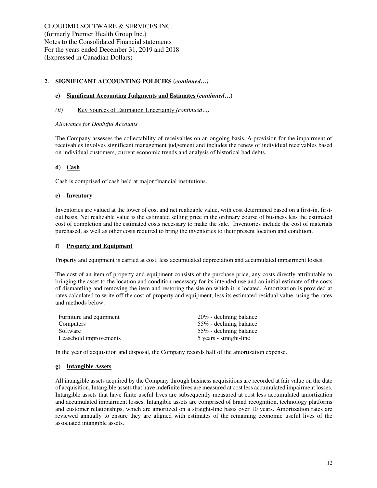## **c) Significant Accounting Judgments and Estimates (***continued…***)**

#### *(ii)* Key Sources of Estimation Uncertainty *(continued…)*

#### *Allowance for Doubtful Accounts*

The Company assesses the collectability of receivables on an ongoing basis. A provision for the impairment of receivables involves significant management judgement and includes the renew of individual receivables based on individual customers, current economic trends and analysis of historical bad debts.

# **d) Cash**

Cash is comprised of cash held at major financial institutions.

## **e) Inventory**

Inventories are valued at the lower of cost and net realizable value, with cost determined based on a first-in, firstout basis. Net realizable value is the estimated selling price in the ordinary course of business less the estimated cost of completion and the estimated costs necessary to make the sale. Inventories include the cost of materials purchased, as well as other costs required to bring the inventories to their present location and condition.

## **f) Property and Equipment**

Property and equipment is carried at cost, less accumulated depreciation and accumulated impairment losses.

The cost of an item of property and equipment consists of the purchase price, any costs directly attributable to bringing the asset to the location and condition necessary for its intended use and an initial estimate of the costs of dismantling and removing the item and restoring the site on which it is located. Amortization is provided at rates calculated to write off the cost of property and equipment, less its estimated residual value, using the rates and methods below:

| Furniture and equipment | $20\%$ - declining balance |
|-------------------------|----------------------------|
| Computers               | 55% - declining balance    |
| Software                | 55% - declining balance    |
| Leasehold improvements  | 5 years - straight-line    |

In the year of acquisition and disposal, the Company records half of the amortization expense.

## **g) Intangible Assets**

All intangible assets acquired by the Company through business acquisitions are recorded at fair value on the date of acquisition. Intangible assets that have indefinite lives are measured at cost less accumulated impairment losses. Intangible assets that have finite useful lives are subsequently measured at cost less accumulated amortization and accumulated impairment losses. Intangible assets are comprised of brand recognition, technology platforms and customer relationships, which are amortized on a straight-line basis over 10 years. Amortization rates are reviewed annually to ensure they are aligned with estimates of the remaining economic useful lives of the associated intangible assets.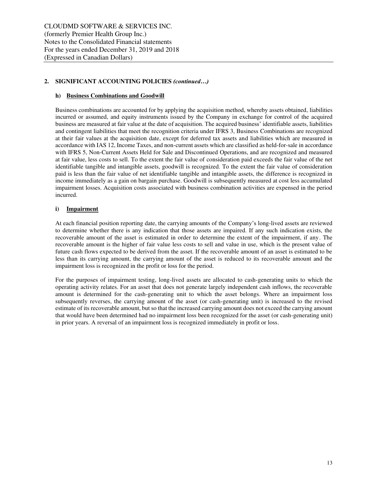# **h) Business Combinations and Goodwill**

Business combinations are accounted for by applying the acquisition method, whereby assets obtained, liabilities incurred or assumed, and equity instruments issued by the Company in exchange for control of the acquired business are measured at fair value at the date of acquisition. The acquired business' identifiable assets, liabilities and contingent liabilities that meet the recognition criteria under IFRS 3, Business Combinations are recognized at their fair values at the acquisition date, except for deferred tax assets and liabilities which are measured in accordance with IAS 12, Income Taxes, and non-current assets which are classified as held-for-sale in accordance with IFRS 5, Non-Current Assets Held for Sale and Discontinued Operations, and are recognized and measured at fair value, less costs to sell. To the extent the fair value of consideration paid exceeds the fair value of the net identifiable tangible and intangible assets, goodwill is recognized. To the extent the fair value of consideration paid is less than the fair value of net identifiable tangible and intangible assets, the difference is recognized in income immediately as a gain on bargain purchase. Goodwill is subsequently measured at cost less accumulated impairment losses. Acquisition costs associated with business combination activities are expensed in the period incurred.

# **i**) **Impairment**

At each financial position reporting date, the carrying amounts of the Company's long-lived assets are reviewed to determine whether there is any indication that those assets are impaired. If any such indication exists, the recoverable amount of the asset is estimated in order to determine the extent of the impairment, if any. The recoverable amount is the higher of fair value less costs to sell and value in use, which is the present value of future cash flows expected to be derived from the asset. If the recoverable amount of an asset is estimated to be less than its carrying amount, the carrying amount of the asset is reduced to its recoverable amount and the impairment loss is recognized in the profit or loss for the period.

For the purposes of impairment testing, long-lived assets are allocated to cash-generating units to which the operating activity relates. For an asset that does not generate largely independent cash inflows, the recoverable amount is determined for the cash-generating unit to which the asset belongs. Where an impairment loss subsequently reverses, the carrying amount of the asset (or cash-generating unit) is increased to the revised estimate of its recoverable amount, but so that the increased carrying amount does not exceed the carrying amount that would have been determined had no impairment loss been recognized for the asset (or cash-generating unit) in prior years. A reversal of an impairment loss is recognized immediately in profit or loss.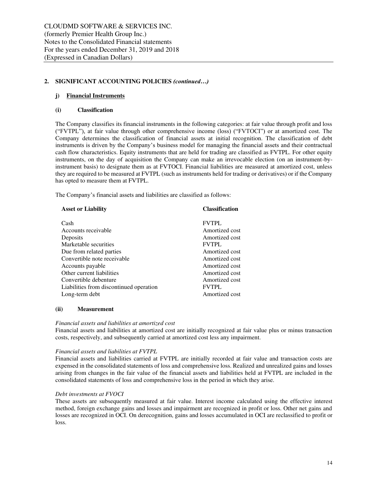# **j) Financial Instruments**

#### **(i) Classification**

The Company classifies its financial instruments in the following categories: at fair value through profit and loss ("FVTPL"), at fair value through other comprehensive income (loss) ("FVTOCI") or at amortized cost. The Company determines the classification of financial assets at initial recognition. The classification of debt instruments is driven by the Company's business model for managing the financial assets and their contractual cash flow characteristics. Equity instruments that are held for trading are classified as FVTPL. For other equity instruments, on the day of acquisition the Company can make an irrevocable election (on an instrument-byinstrument basis) to designate them as at FVTOCI. Financial liabilities are measured at amortized cost, unless they are required to be measured at FVTPL (such as instruments held for trading or derivatives) or if the Company has opted to measure them at FVTPL.

The Company's financial assets and liabilities are classified as follows:

| <b>Asset or Liability</b>               | <b>Classification</b> |
|-----------------------------------------|-----------------------|
| Cash                                    | <b>FVTPL</b>          |
| Accounts receivable                     | Amortized cost        |
| Deposits                                | Amortized cost        |
| Marketable securities                   | <b>FVTPL</b>          |
| Due from related parties                | Amortized cost        |
| Convertible note receivable             | Amortized cost        |
| Accounts payable                        | Amortized cost        |
| Other current liabilities               | Amortized cost        |
| Convertible debenture                   | Amortized cost        |
| Liabilities from discontinued operation | <b>FVTPL</b>          |
| Long-term debt                          | Amortized cost        |

#### **(ii) Measurement**

#### *Financial assets and liabilities at amortized cost*

Financial assets and liabilities at amortized cost are initially recognized at fair value plus or minus transaction costs, respectively, and subsequently carried at amortized cost less any impairment.

#### *Financial assets and liabilities at FVTPL*

Financial assets and liabilities carried at FVTPL are initially recorded at fair value and transaction costs are expensed in the consolidated statements of loss and comprehensive loss. Realized and unrealized gains and losses arising from changes in the fair value of the financial assets and liabilities held at FVTPL are included in the consolidated statements of loss and comprehensive loss in the period in which they arise.

#### *Debt investments at FVOCI*

These assets are subsequently measured at fair value. Interest income calculated using the effective interest method, foreign exchange gains and losses and impairment are recognized in profit or loss. Other net gains and losses are recognized in OCI. On derecognition, gains and losses accumulated in OCI are reclassified to profit or loss.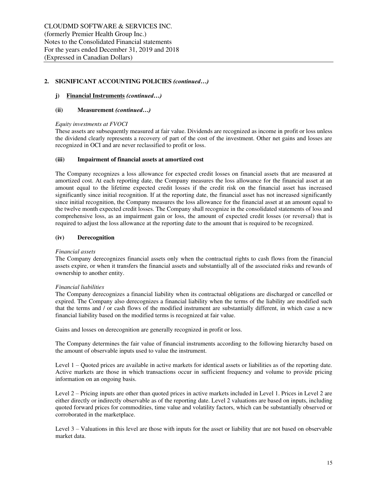## **j) Financial Instruments** *(continued…)*

#### **(ii) Measurement** *(continued…)*

#### *Equity investments at FVOCI*

These assets are subsequently measured at fair value. Dividends are recognized as income in profit or loss unless the dividend clearly represents a recovery of part of the cost of the investment. Other net gains and losses are recognized in OCI and are never reclassified to profit or loss.

#### **(iii) Impairment of financial assets at amortized cost**

The Company recognizes a loss allowance for expected credit losses on financial assets that are measured at amortized cost. At each reporting date, the Company measures the loss allowance for the financial asset at an amount equal to the lifetime expected credit losses if the credit risk on the financial asset has increased significantly since initial recognition. If at the reporting date, the financial asset has not increased significantly since initial recognition, the Company measures the loss allowance for the financial asset at an amount equal to the twelve month expected credit losses. The Company shall recognize in the consolidated statements of loss and comprehensive loss, as an impairment gain or loss, the amount of expected credit losses (or reversal) that is required to adjust the loss allowance at the reporting date to the amount that is required to be recognized.

## **(iv) Derecognition**

#### *Financial assets*

The Company derecognizes financial assets only when the contractual rights to cash flows from the financial assets expire, or when it transfers the financial assets and substantially all of the associated risks and rewards of ownership to another entity.

#### *Financial liabilities*

The Company derecognizes a financial liability when its contractual obligations are discharged or cancelled or expired. The Company also derecognizes a financial liability when the terms of the liability are modified such that the terms and / or cash flows of the modified instrument are substantially different, in which case a new financial liability based on the modified terms is recognized at fair value.

Gains and losses on derecognition are generally recognized in profit or loss.

The Company determines the fair value of financial instruments according to the following hierarchy based on the amount of observable inputs used to value the instrument.

Level 1 – Quoted prices are available in active markets for identical assets or liabilities as of the reporting date. Active markets are those in which transactions occur in sufficient frequency and volume to provide pricing information on an ongoing basis.

Level 2 – Pricing inputs are other than quoted prices in active markets included in Level 1. Prices in Level 2 are either directly or indirectly observable as of the reporting date. Level 2 valuations are based on inputs, including quoted forward prices for commodities, time value and volatility factors, which can be substantially observed or corroborated in the marketplace.

Level 3 – Valuations in this level are those with inputs for the asset or liability that are not based on observable market data.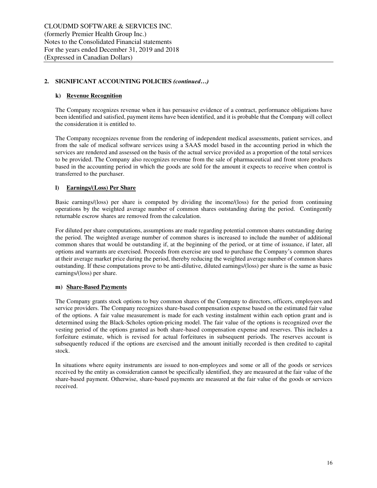# **k) Revenue Recognition**

The Company recognizes revenue when it has persuasive evidence of a contract, performance obligations have been identified and satisfied, payment items have been identified, and it is probable that the Company will collect the consideration it is entitled to.

The Company recognizes revenue from the rendering of independent medical assessments, patient services, and from the sale of medical software services using a SAAS model based in the accounting period in which the services are rendered and assessed on the basis of the actual service provided as a proportion of the total services to be provided. The Company also recognizes revenue from the sale of pharmaceutical and front store products based in the accounting period in which the goods are sold for the amount it expects to receive when control is transferred to the purchaser.

# **l) Earnings/(Loss) Per Share**

Basic earnings/(loss) per share is computed by dividing the income/(loss) for the period from continuing operations by the weighted average number of common shares outstanding during the period. Contingently returnable escrow shares are removed from the calculation.

For diluted per share computations, assumptions are made regarding potential common shares outstanding during the period. The weighted average number of common shares is increased to include the number of additional common shares that would be outstanding if, at the beginning of the period, or at time of issuance, if later, all options and warrants are exercised. Proceeds from exercise are used to purchase the Company's common shares at their average market price during the period, thereby reducing the weighted average number of common shares outstanding. If these computations prove to be anti-dilutive, diluted earnings/(loss) per share is the same as basic earnings/(loss) per share.

# **m) Share-Based Payments**

The Company grants stock options to buy common shares of the Company to directors, officers, employees and service providers. The Company recognizes share-based compensation expense based on the estimated fair value of the options. A fair value measurement is made for each vesting instalment within each option grant and is determined using the Black-Scholes option-pricing model. The fair value of the options is recognized over the vesting period of the options granted as both share-based compensation expense and reserves. This includes a forfeiture estimate, which is revised for actual forfeitures in subsequent periods. The reserves account is subsequently reduced if the options are exercised and the amount initially recorded is then credited to capital stock.

In situations where equity instruments are issued to non-employees and some or all of the goods or services received by the entity as consideration cannot be specifically identified, they are measured at the fair value of the share-based payment. Otherwise, share-based payments are measured at the fair value of the goods or services received.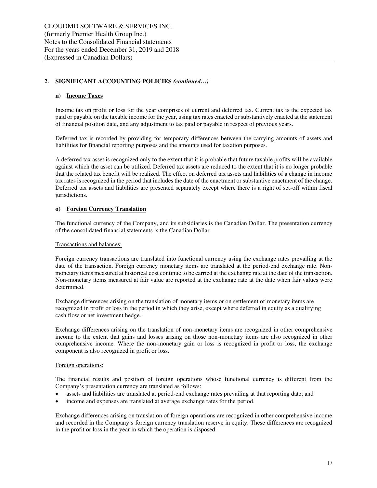#### **n) Income Taxes**

Income tax on profit or loss for the year comprises of current and deferred tax. Current tax is the expected tax paid or payable on the taxable income for the year, using tax rates enacted or substantively enacted at the statement of financial position date, and any adjustment to tax paid or payable in respect of previous years.

Deferred tax is recorded by providing for temporary differences between the carrying amounts of assets and liabilities for financial reporting purposes and the amounts used for taxation purposes.

A deferred tax asset is recognized only to the extent that it is probable that future taxable profits will be available against which the asset can be utilized. Deferred tax assets are reduced to the extent that it is no longer probable that the related tax benefit will be realized. The effect on deferred tax assets and liabilities of a change in income tax rates is recognized in the period that includes the date of the enactment or substantive enactment of the change. Deferred tax assets and liabilities are presented separately except where there is a right of set-off within fiscal jurisdictions.

## **o) Foreign Currency Translation**

The functional currency of the Company, and its subsidiaries is the Canadian Dollar. The presentation currency of the consolidated financial statements is the Canadian Dollar.

#### Transactions and balances:

Foreign currency transactions are translated into functional currency using the exchange rates prevailing at the date of the transaction. Foreign currency monetary items are translated at the period-end exchange rate. Nonmonetary items measured at historical cost continue to be carried at the exchange rate at the date of the transaction. Non-monetary items measured at fair value are reported at the exchange rate at the date when fair values were determined.

Exchange differences arising on the translation of monetary items or on settlement of monetary items are recognized in profit or loss in the period in which they arise, except where deferred in equity as a qualifying cash flow or net investment hedge.

Exchange differences arising on the translation of non-monetary items are recognized in other comprehensive income to the extent that gains and losses arising on those non-monetary items are also recognized in other comprehensive income. Where the non-monetary gain or loss is recognized in profit or loss, the exchange component is also recognized in profit or loss.

#### Foreign operations:

The financial results and position of foreign operations whose functional currency is different from the Company's presentation currency are translated as follows:

- assets and liabilities are translated at period-end exchange rates prevailing at that reporting date; and
- income and expenses are translated at average exchange rates for the period.

Exchange differences arising on translation of foreign operations are recognized in other comprehensive income and recorded in the Company's foreign currency translation reserve in equity. These differences are recognized in the profit or loss in the year in which the operation is disposed.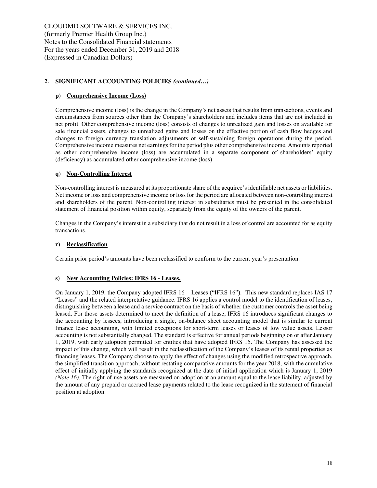# **p) Comprehensive Income (Loss)**

Comprehensive income (loss) is the change in the Company's net assets that results from transactions, events and circumstances from sources other than the Company's shareholders and includes items that are not included in net profit. Other comprehensive income (loss) consists of changes to unrealized gain and losses on available for sale financial assets, changes to unrealized gains and losses on the effective portion of cash flow hedges and changes to foreign currency translation adjustments of self-sustaining foreign operations during the period. Comprehensive income measures net earnings for the period plus other comprehensive income. Amounts reported as other comprehensive income (loss) are accumulated in a separate component of shareholders' equity (deficiency) as accumulated other comprehensive income (loss).

# **q) Non-Controlling Interest**

Non-controlling interest is measured at its proportionate share of the acquiree's identifiable net assets or liabilities. Net income or loss and comprehensive income or loss for the period are allocated between non-controlling interest and shareholders of the parent. Non-controlling interest in subsidiaries must be presented in the consolidated statement of financial position within equity, separately from the equity of the owners of the parent.

Changes in the Company's interest in a subsidiary that do not result in a loss of control are accounted for as equity transactions.

# **r) Reclassification**

Certain prior period's amounts have been reclassified to conform to the current year's presentation.

# **s) New Accounting Policies: IFRS 16 - Leases.**

On January 1, 2019, the Company adopted IFRS 16 – Leases ("IFRS 16"). This new standard replaces IAS 17 "Leases" and the related interpretative guidance. IFRS 16 applies a control model to the identification of leases, distinguishing between a lease and a service contract on the basis of whether the customer controls the asset being leased. For those assets determined to meet the definition of a lease, IFRS 16 introduces significant changes to the accounting by lessees, introducing a single, on-balance sheet accounting model that is similar to current finance lease accounting, with limited exceptions for short-term leases or leases of low value assets. Lessor accounting is not substantially changed. The standard is effective for annual periods beginning on or after January 1, 2019, with early adoption permitted for entities that have adopted IFRS 15. The Company has assessed the impact of this change, which will result in the reclassification of the Company's leases of its rental properties as financing leases. The Company choose to apply the effect of changes using the modified retrospective approach, the simplified transition approach, without restating comparative amounts for the year 2018, with the cumulative effect of initially applying the standards recognized at the date of initial application which is January 1, 2019 *(Note 16).* The right-of-use assets are measured on adoption at an amount equal to the lease liability, adjusted by the amount of any prepaid or accrued lease payments related to the lease recognized in the statement of financial position at adoption.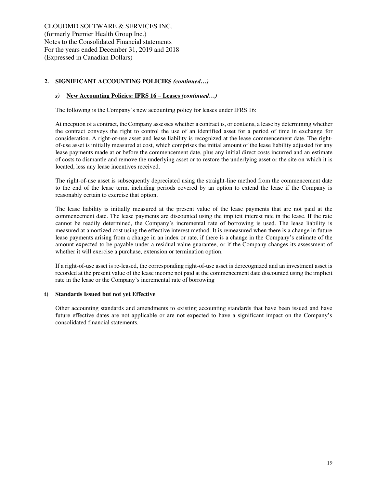## *s)* **New Accounting Policies: IFRS 16 – Leases** *(continued…)*

The following is the Company's new accounting policy for leases under IFRS 16:

At inception of a contract, the Company assesses whether a contract is, or contains, a lease by determining whether the contract conveys the right to control the use of an identified asset for a period of time in exchange for consideration. A right-of-use asset and lease liability is recognized at the lease commencement date. The rightof-use asset is initially measured at cost, which comprises the initial amount of the lease liability adjusted for any lease payments made at or before the commencement date, plus any initial direct costs incurred and an estimate of costs to dismantle and remove the underlying asset or to restore the underlying asset or the site on which it is located, less any lease incentives received.

The right-of-use asset is subsequently depreciated using the straight-line method from the commencement date to the end of the lease term, including periods covered by an option to extend the lease if the Company is reasonably certain to exercise that option.

The lease liability is initially measured at the present value of the lease payments that are not paid at the commencement date. The lease payments are discounted using the implicit interest rate in the lease. If the rate cannot be readily determined, the Company's incremental rate of borrowing is used. The lease liability is measured at amortized cost using the effective interest method. It is remeasured when there is a change in future lease payments arising from a change in an index or rate, if there is a change in the Company's estimate of the amount expected to be payable under a residual value guarantee, or if the Company changes its assessment of whether it will exercise a purchase, extension or termination option.

If a right-of-use asset is re-leased, the corresponding right-of-use asset is derecognized and an investment asset is recorded at the present value of the lease income not paid at the commencement date discounted using the implicit rate in the lease or the Company's incremental rate of borrowing

## **t) Standards Issued but not yet Effective**

Other accounting standards and amendments to existing accounting standards that have been issued and have future effective dates are not applicable or are not expected to have a significant impact on the Company's consolidated financial statements.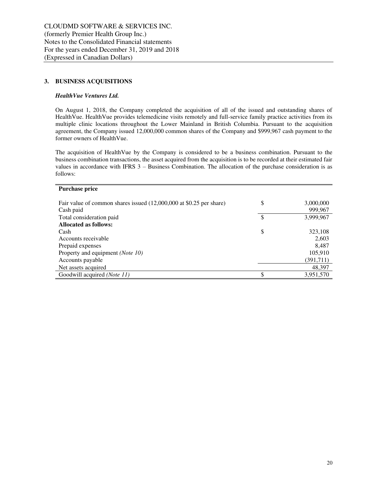# **3. BUSINESS ACQUISITIONS**

## *HealthVue Ventures Ltd.*

**Purchase price** 

On August 1, 2018, the Company completed the acquisition of all of the issued and outstanding shares of HealthVue. HealthVue provides telemedicine visits remotely and full-service family practice activities from its multiple clinic locations throughout the Lower Mainland in British Columbia. Pursuant to the acquisition agreement, the Company issued 12,000,000 common shares of the Company and \$999,967 cash payment to the former owners of HealthVue.

The acquisition of HealthVue by the Company is considered to be a business combination. Pursuant to the business combination transactions, the asset acquired from the acquisition is to be recorded at their estimated fair values in accordance with IFRS 3 – Business Combination. The allocation of the purchase consideration is as follows:

| Fair value of common shares issued $(12,000,000$ at \$0.25 per share) | \$ | 3,000,000 |
|-----------------------------------------------------------------------|----|-----------|
| Cash paid                                                             |    | 999.967   |
| Total consideration paid                                              | S  | 3,999,967 |
| <b>Allocated as follows:</b>                                          |    |           |
| Cash                                                                  | \$ | 323,108   |
| Accounts receivable                                                   |    | 2,603     |
| Prepaid expenses                                                      |    | 8.487     |

| Cash                                      | 323,108   |
|-------------------------------------------|-----------|
| Accounts receivable                       | 2,603     |
| Prepaid expenses                          | 8.487     |
| Property and equipment ( <i>Note 10</i> ) | 105.910   |
| Accounts payable                          | (391,711) |
| Net assets acquired                       | 48.397    |
| Goodwill acquired ( <i>Note 11</i> )      | 3,951,570 |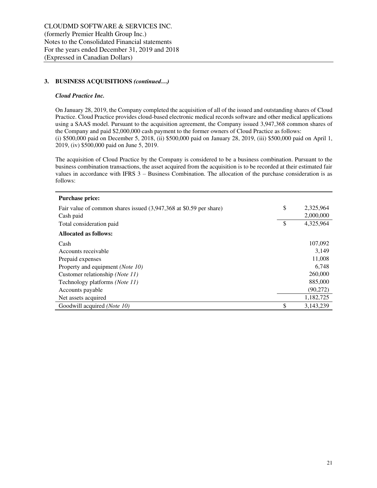# **3. BUSINESS ACQUISITIONS** *(continued…)*

#### *Cloud Practice Inc.*

On January 28, 2019, the Company completed the acquisition of all of the issued and outstanding shares of Cloud Practice. Cloud Practice provides cloud-based electronic medical records software and other medical applications using a SAAS model. Pursuant to the acquisition agreement, the Company issued 3,947,368 common shares of the Company and paid \$2,000,000 cash payment to the former owners of Cloud Practice as follows: (i) \$500,000 paid on December 5, 2018, (ii) \$500,000 paid on January 28, 2019, (iii) \$500,000 paid on April 1, 2019, (iv) \$500,000 paid on June 5, 2019.

The acquisition of Cloud Practice by the Company is considered to be a business combination. Pursuant to the business combination transactions, the asset acquired from the acquisition is to be recorded at their estimated fair values in accordance with IFRS 3 – Business Combination. The allocation of the purchase consideration is as follows:

| <b>Purchase price:</b>                                             |                 |
|--------------------------------------------------------------------|-----------------|
| Fair value of common shares issued (3,947,368 at \$0.59 per share) | \$<br>2,325,964 |
| Cash paid                                                          | 2,000,000       |
| Total consideration paid                                           | \$<br>4,325,964 |
| <b>Allocated as follows:</b>                                       |                 |
| Cash                                                               | 107,092         |
| Accounts receivable                                                | 3,149           |
| Prepaid expenses                                                   | 11,008          |
| Property and equipment ( <i>Note 10</i> )                          | 6.748           |
| Customer relationship (Note 11)                                    | 260,000         |
| Technology platforms (Note 11)                                     | 885,000         |
| Accounts payable                                                   | (90,272)        |
| Net assets acquired                                                | 1,182,725       |
| Goodwill acquired (Note 10)                                        | \$<br>3.143.239 |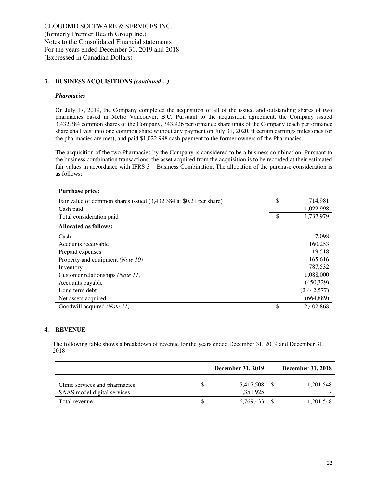# **3. BUSINESS ACQUISITIONS** *(continued…)*

#### *Pharmacies*

On July 17, 2019, the Company completed the acquisition of all of the issued and outstanding shares of two pharmacies based in Metro Vancouver, B.C. Pursuant to the acquisition agreement, the Company issued 3,432,384 common shares of the Company, 343,926 performance share units of the Company (each performance share shall vest into one common share without any payment on July 31, 2020, if certain earnings milestones for the pharmacies are met), and paid \$1,022,998 cash payment to the former owners of the Pharmacies.

The acquisition of the two Pharmacies by the Company is considered to be a business combination. Pursuant to the business combination transactions, the asset acquired from the acquisition is to be recorded at their estimated fair values in accordance with IFRS 3 – Business Combination. The allocation of the purchase consideration is as follows:

| <b>Purchase price:</b>                                             |                 |
|--------------------------------------------------------------------|-----------------|
| Fair value of common shares issued (3,432,384 at \$0.21 per share) | \$<br>714,981   |
| Cash paid                                                          | 1,022,998       |
| Total consideration paid                                           | \$<br>1,737,979 |
| <b>Allocated as follows:</b>                                       |                 |
| Cash                                                               | 7,098           |
| Accounts receivable                                                | 160,253         |
| Prepaid expenses                                                   | 19,518          |
| Property and equipment (Note 10)                                   | 165,616         |
| Inventory                                                          | 787,532         |
| Customer relationships (Note 11)                                   | 1,088,000       |
| Accounts payable                                                   | (450, 329)      |
| Long term debt                                                     | (2,442,577)     |
| Net assets acquired                                                | (664, 889)      |
| Goodwill acquired ( <i>Note 11</i> )                               | \$<br>2,402,868 |

# **4. REVENUE**

The following table shows a breakdown of revenue for the years ended December 31, 2019 and December 31, 2018

|                                                               | <b>December 31, 2019</b> | <b>December 31, 2018</b> |
|---------------------------------------------------------------|--------------------------|--------------------------|
| Clinic services and pharmacies<br>SAAS model digital services | 5,417,508<br>1.351.925   | 1,201,548                |
| Total revenue                                                 | 6,769,433                | 1,201,548                |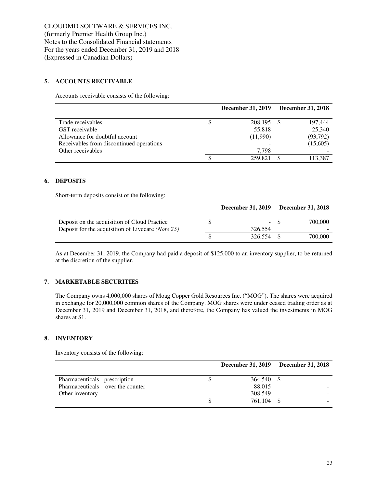# **5. ACCOUNTS RECEIVABLE**

Accounts receivable consists of the following:

|                                          | <b>December 31, 2019</b> | <b>December 31, 2018</b> |
|------------------------------------------|--------------------------|--------------------------|
|                                          |                          |                          |
| Trade receivables                        | 208,195                  | 197,444                  |
| GST receivable                           | 55,818                   | 25,340                   |
| Allowance for doubtful account           | (11,990)                 | (93,792)                 |
| Receivables from discontinued operations |                          | (15,605)                 |
| Other receivables                        | 7.798                    |                          |
|                                          | 259.821                  | 113.387                  |

# **6. DEPOSITS**

Short-term deposits consist of the following:

|                                                            | December 31, 2019 December 31, 2018 |         |
|------------------------------------------------------------|-------------------------------------|---------|
| Deposit on the acquisition of Cloud Practice               | $\sim$                              | 700,000 |
| Deposit for the acquisition of Livecare ( <i>Note 25</i> ) | 326.554                             |         |
|                                                            | 326,554 \$                          | 700,000 |

As at December 31, 2019, the Company had paid a deposit of \$125,000 to an inventory supplier, to be returned at the discretion of the supplier.

# **7. MARKETABLE SECURITIES**

The Company owns 4,000,000 shares of Moag Copper Gold Resources Inc. ("MOG"). The shares were acquired in exchange for 20,000,000 common shares of the Company. MOG shares were under ceased trading order as at December 31, 2019 and December 31, 2018, and therefore, the Company has valued the investments in MOG shares at \$1.

# **8. INVENTORY**

Inventory consists of the following:

|                                     | <b>December 31, 2019</b> | <b>December 31, 2018</b> |
|-------------------------------------|--------------------------|--------------------------|
| Pharmaceuticals - prescription      | 364.540 \$               |                          |
| $Pharmaceticals - over the counter$ | 88,015                   |                          |
| Other inventory                     | 308,549                  |                          |
|                                     | 761.104                  |                          |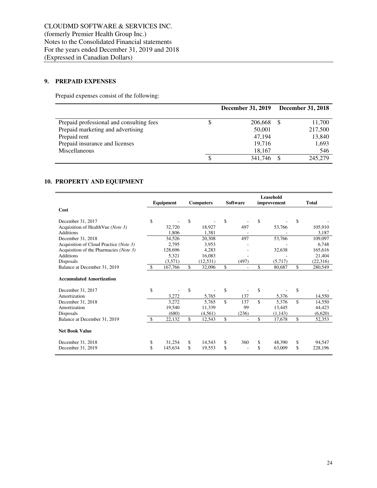## **9. PREPAID EXPENSES**

Prepaid expenses consist of the following:

|                                          |   | December 31, 2019 | <b>December 31, 2018</b> |
|------------------------------------------|---|-------------------|--------------------------|
| Prepaid professional and consulting fees | Φ | 206,668 \$        | 11,700                   |
| Prepaid marketing and advertising        |   | 50,001            | 217,500                  |
| Prepaid rent                             |   | 47.194            | 13,840                   |
| Prepaid insurance and licenses           |   | 19,716            | 1,693                    |
| Miscellaneous                            |   | 18,167            | 546                      |
|                                          |   | 341,746           | 245,279                  |

# **10. PROPERTY AND EQUIPMENT**

|                                        | Equipment     | <b>Computers</b> | <b>Software</b>                | <b>Leasehold</b><br>improvement | <b>Total</b>  |
|----------------------------------------|---------------|------------------|--------------------------------|---------------------------------|---------------|
| Cost                                   |               |                  |                                |                                 |               |
| December 31, 2017                      | \$            | \$               | \$                             | \$                              | \$            |
| Acquisition of HealthVue (Note 3)      | 32,720        | 18,927           | 497                            | 53,766                          | 105,910       |
| <b>Additions</b>                       | 1.806         | 1.381            |                                |                                 | 3,187         |
| December 31, 2018                      | 34.526        | 20,308           | 497                            | 53,766                          | 109.097       |
| Acquisition of Cloud Practice (Note 3) | 2.795         | 3,953            |                                |                                 | 6.748         |
| Acquisition of the Pharmacies (Note 3) | 128,696       | 4,283            |                                | 32,638                          | 165,616       |
| <b>Additions</b>                       | 5,321         | 16,083           |                                |                                 | 21,404        |
| Disposals                              | (3,571)       | (12, 531)        | (497)                          | (5,717)                         | (22,316)      |
| Balance at December 31, 2019           | \$<br>167,766 | \$<br>32,096     | \$                             | \$<br>80,687                    | \$<br>280,549 |
| <b>Accumulated Amortization</b>        |               |                  |                                |                                 |               |
| December 31, 2017                      | \$            | \$               | \$                             | \$                              | \$            |
| Amortization                           | 3,272         | 5,765            | 137                            | 5,376                           | 14,550        |
| December 31, 2018                      | 3,272         | 5,765            | \$<br>137                      | \$<br>5,376                     | \$<br>14,550  |
| Amortization                           | 19.540        | 11.339           | 99                             | 13,445                          | 44.423        |
| Disposals                              | (680)         | (4,561)          | (236)                          | (1,143)                         | (6,620)       |
| Balance at December 31, 2019           | \$<br>22,132  | \$<br>12,543     | \$<br>$\overline{\phantom{a}}$ | \$<br>17,678                    | \$<br>52,353  |
| <b>Net Book Value</b>                  |               |                  |                                |                                 |               |
| December 31, 2018                      | \$<br>31,254  | \$<br>14.543     | \$<br>360                      | \$<br>48.390                    | \$<br>94.547  |
| December 31, 2019                      | \$<br>145,634 | \$<br>19,553     | \$                             | \$<br>63,009                    | \$<br>228,196 |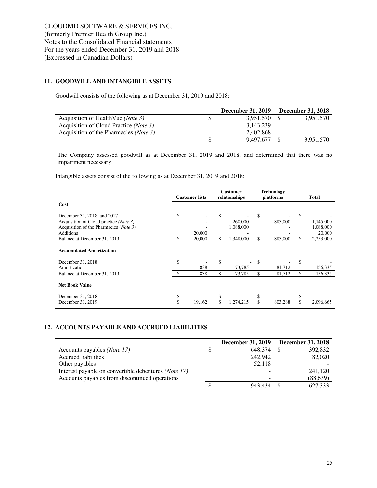# **11. GOODWILL AND INTANGIBLE ASSETS**

Goodwill consists of the following as at December 31, 2019 and 2018:

|                                                 | <b>December 31, 2019</b> | <b>December 31, 2018</b> |
|-------------------------------------------------|--------------------------|--------------------------|
| Acquisition of HealthVue ( <i>Note 3</i> )      | 3.951.570 \$             | 3,951,570                |
| Acquisition of Cloud Practice ( <i>Note 3</i> ) | 3.143.239                | $\sim$                   |
| Acquisition of the Pharmacies ( <i>Note 3</i> ) | 2.402.868                | $\overline{\phantom{a}}$ |
|                                                 | 9.497.677                | 3.951.570                |

The Company assessed goodwill as at December 31, 2019 and 2018, and determined that there was no impairment necessary.

Intangible assets consist of the following as at December 31, 2019 and 2018:

|                                                                                                                                     |          | <b>Customer lists</b>              |          | <b>Customer</b><br>relationships |          | <b>Technology</b><br>platforms | <b>Total</b>                           |
|-------------------------------------------------------------------------------------------------------------------------------------|----------|------------------------------------|----------|----------------------------------|----------|--------------------------------|----------------------------------------|
| Cost                                                                                                                                |          |                                    |          |                                  |          |                                |                                        |
| December 31, 2018, and 2017<br>Acquisition of Cloud practice (Note 3)<br>Acquisition of the Pharmacies (Note 3)<br><b>Additions</b> | \$       | $\overline{\phantom{a}}$<br>20,000 | \$       | 260,000<br>1,088,000             | \$       | 885,000                        | \$<br>1,145,000<br>1,088,000<br>20,000 |
| Balance at December 31, 2019                                                                                                        |          | 20,000                             | \$       | 1,348,000                        | \$       | 885,000                        | \$<br>2,253,000                        |
| <b>Accumulated Amortization</b><br>December 31, 2018                                                                                | \$       |                                    | \$       |                                  | \$       |                                | \$                                     |
| Amortization                                                                                                                        |          | 838                                |          | 73,785                           |          | 81,712                         | 156,335                                |
| Balance at December 31, 2019                                                                                                        |          | 838                                | \$       | 73,785                           | \$       | 81,712                         | \$<br>156,335                          |
| <b>Net Book Value</b>                                                                                                               |          |                                    |          |                                  |          |                                |                                        |
| December 31, 2018<br>December 31, 2019                                                                                              | \$<br>\$ | 19,162                             | \$<br>\$ | 1,274,215                        | \$<br>\$ | 803,288                        | 2,096,665                              |

# **12. ACCOUNTS PAYABLE AND ACCRUED LIABILITIES**

|                                                               | <b>December 31, 2019</b> | <b>December 31, 2018</b> |
|---------------------------------------------------------------|--------------------------|--------------------------|
| Accounts payables (Note 17)                                   | 648.374                  | 392,832                  |
| <b>Accrued liabilities</b>                                    | 242,942                  | 82,020                   |
| Other payables                                                | 52,118                   |                          |
| Interest payable on convertible debentures ( <i>Note 17</i> ) |                          | 241,120                  |
| Accounts payables from discontinued operations                |                          | (88, 639)                |
|                                                               | 943.434                  | 627,333                  |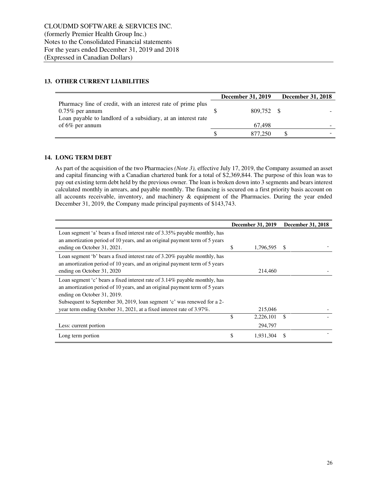# **13. OTHER CURRENT LIABILITIES**

|                                                                                                                                                     | <b>December 31, 2019</b> | <b>December 31, 2018</b> |
|-----------------------------------------------------------------------------------------------------------------------------------------------------|--------------------------|--------------------------|
| Pharmacy line of credit, with an interest rate of prime plus<br>$0.75\%$ per annum<br>Loan payable to landlord of a subsidiary, at an interest rate | 809,752 \$               |                          |
| of 6% per annum                                                                                                                                     | 67.498                   |                          |
|                                                                                                                                                     | 877,250                  |                          |

# **14. LONG TERM DEBT**

As part of the acquisition of the two Pharmacies *(Note 3),* effective July 17, 2019, the Company assumed an asset and capital financing with a Canadian chartered bank for a total of \$2,369,844. The purpose of this loan was to pay out existing term debt held by the previous owner. The loan is broken down into 3 segments and bears interest calculated monthly in arrears, and payable monthly. The financing is secured on a first priority basis account on all accounts receivable, inventory, and machinery & equipment of the Pharmacies. During the year ended December 31, 2019, the Company made principal payments of \$143,743.

|                                                                                                                                                                                          | <b>December 31, 2019</b> | December 31, 2018 |
|------------------------------------------------------------------------------------------------------------------------------------------------------------------------------------------|--------------------------|-------------------|
| Loan segment 'a' bears a fixed interest rate of 3.35% payable monthly, has<br>an amortization period of 10 years, and an original payment term of 5 years                                |                          |                   |
| ending on October 31, 2021.                                                                                                                                                              | \$<br>1,796,595          | <b>S</b>          |
| Loan segment 'b' bears a fixed interest rate of 3.20% payable monthly, has<br>an amortization period of 10 years, and an original payment term of 5 years                                |                          |                   |
| ending on October 31, 2020                                                                                                                                                               | 214,460                  |                   |
| Loan segment 'c' bears a fixed interest rate of 3.14% payable monthly, has<br>an amortization period of 10 years, and an original payment term of 5 years<br>ending on October 31, 2019. |                          |                   |
| Subsequent to September 30, 2019, loan segment 'c' was renewed for a 2-                                                                                                                  |                          |                   |
| year term ending October 31, 2021, at a fixed interest rate of 3.97%.                                                                                                                    | 215,046                  |                   |
|                                                                                                                                                                                          | \$<br>2,226,101          | \$.               |
| Less: current portion                                                                                                                                                                    | 294,797                  |                   |
| Long term portion                                                                                                                                                                        | \$<br>1,931,304          |                   |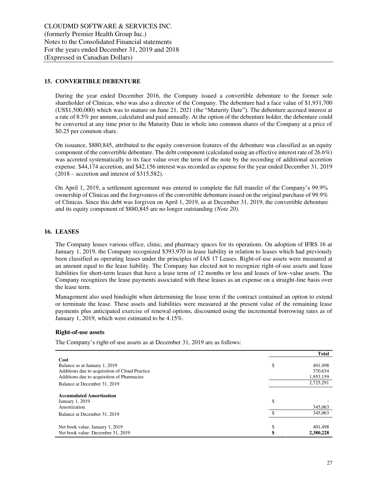# **15. CONVERTIBLE DEBENTURE**

During the year ended December 2016, the Company issued a convertible debenture to the former sole shareholder of Clinicas, who was also a director of the Company. The debenture had a face value of \$1,931,700 (US\$1,500,000) which was to mature on June 21, 2021 (the "Maturity Date"). The debenture accrued interest at a rate of 8.5% per annum, calculated and paid annually. At the option of the debenture holder, the debenture could be converted at any time prior to the Maturity Date in whole into common shares of the Company at a price of \$0.25 per common share.

On issuance, \$880,845, attributed to the equity conversion features of the debenture was classified as an equity component of the convertible debenture. The debt component (calculated using an effective interest rate of  $26.6\%$ ) was accreted systematically to its face value over the term of the note by the recording of additional accretion expense. \$44,174 accretion, and \$42,156 interest was recorded as expense for the year ended December 31, 2019 (2018 – accretion and interest of \$315,582).

On April 1, 2019, a settlement agreement was entered to complete the full transfer of the Company's 99.9% ownership of Clinicas and the forgiveness of the convertible debenture issued on the original purchase of 99.9% of Clinicas. Since this debt was forgiven on April 1, 2019, as at December 31, 2019, the convertible debenture and its equity component of \$880,845 are no longer outstanding *(Note 20)*.

# **16. LEASES**

The Company leases various office, clinic, and pharmacy spaces for its operations. On adoption of IFRS 16 at January 1, 2019, the Company recognized \$393,970 in lease liability in relation to leases which had previously been classified as operating leases under the principles of IAS 17 Leases. Right-of-use assets were measured at an amount equal to the lease liability. The Company has elected not to recognize right-of-use assets and lease liabilities for short-term leases that have a lease term of 12 months or less and leases of low-value assets. The Company recognizes the lease payments associated with these leases as an expense on a straight-line basis over the lease term.

Management also used hindsight when determining the lease term if the contract contained an option to extend or terminate the lease. These assets and liabilities were measured at the present value of the remaining lease payments plus anticipated exercise of renewal options, discounted using the incremental borrowing rates as of January 1, 2019, which were estimated to be 4.15%.

#### **Right-of-use assets**

The Company's right-of-use assets as at December 31, 2019 are as follows:

|                                                                      |         | <b>Total</b>         |
|----------------------------------------------------------------------|---------|----------------------|
| Cost                                                                 |         |                      |
| Balance as at January 1, 2019                                        | \$      | 401,498              |
| Additions due to acquisition of Cloud Practice                       |         | 370,634              |
| Additions due to acquisition of Pharmacies                           |         | 1,953,159            |
| Balance at December 31, 2019                                         |         | 2.725.291            |
| <b>Accumulated Amortization</b><br>January 1, 2019                   | \$      |                      |
| Amortization                                                         |         | 345,063              |
| Balance at December 31, 2019                                         |         | 345,063              |
| Net book value: January 1, 2019<br>Net book value: December 31, 2019 | \$<br>э | 401,498<br>2.380,228 |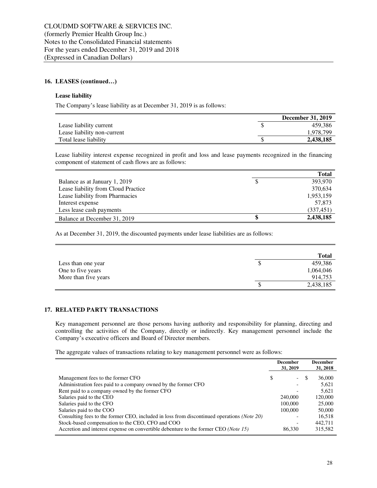## **16. LEASES (continued…)**

## **Lease liability**

The Company's lease liability as at December 31, 2019 is as follows:

|                             | <b>December 31, 2019</b> |
|-----------------------------|--------------------------|
| Lease liability current     | 459.386                  |
| Lease liability non-current | 1.978.799                |
| Total lease liability       | 2.438,185                |

Lease liability interest expense recognized in profit and loss and lease payments recognized in the financing component of statement of cash flows are as follows:

|                                     | <b>Total</b> |
|-------------------------------------|--------------|
| Balance as at January 1, 2019       | 393,970      |
| Lease liability from Cloud Practice | 370,634      |
| Lease liability from Pharmacies     | 1,953,159    |
| Interest expense                    | 57,873       |
| Less lease cash payments            | (337, 451)   |
| Balance at December 31, 2019        | 2,438,185    |

As at December 31, 2019, the discounted payments under lease liabilities are as follows:

|                      | <b>Total</b>    |
|----------------------|-----------------|
| Less than one year   | \$<br>459,386   |
| One to five years    | 1,064,046       |
| More than five years | 914,753         |
|                      | \$<br>2,438,185 |

## **17. RELATED PARTY TRANSACTIONS**

Key management personnel are those persons having authority and responsibility for planning, directing and controlling the activities of the Company, directly or indirectly. Key management personnel include the Company's executive officers and Board of Director members.

The aggregate values of transactions relating to key management personnel were as follows:

|                                                                                                     | <b>December</b><br>31, 2019 |   | <b>December</b><br>31, 2018 |
|-----------------------------------------------------------------------------------------------------|-----------------------------|---|-----------------------------|
| Management fees to the former CFO                                                                   | \$<br>$ \,$                 | S | 36,000                      |
| Administration fees paid to a company owned by the former CFO                                       |                             |   | 5,621                       |
| Rent paid to a company owned by the former CFO                                                      |                             |   | 5,621                       |
| Salaries paid to the CEO                                                                            | 240,000                     |   | 120,000                     |
| Salaries paid to the CFO                                                                            | 100,000                     |   | 25,000                      |
| Salaries paid to the COO                                                                            | 100,000                     |   | 50,000                      |
| Consulting fees to the former CEO, included in loss from discontinued operations ( <i>Note 20</i> ) |                             |   | 16,518                      |
| Stock-based compensation to the CEO, CFO and COO                                                    |                             |   | 442.711                     |
| Accretion and interest expense on convertible debenture to the former CEO (Note 15)                 | 86.330                      |   | 315,582                     |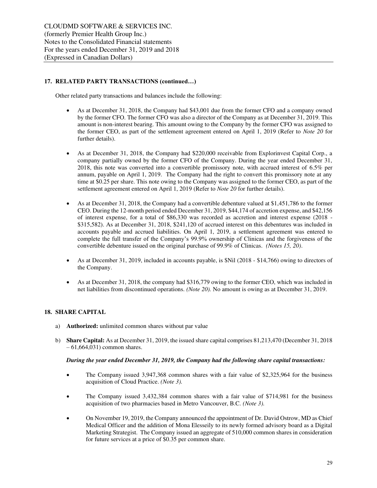# **17. RELATED PARTY TRANSACTIONS (continued…)**

Other related party transactions and balances include the following:

- As at December 31, 2018, the Company had \$43,001 due from the former CFO and a company owned by the former CFO. The former CFO was also a director of the Company as at December 31, 2019. This amount is non-interest bearing. This amount owing to the Company by the former CFO was assigned to the former CEO, as part of the settlement agreement entered on April 1, 2019 (Refer to *Note 20* for further details).
- As at December 31, 2018, the Company had \$220,000 receivable from Explorinvest Capital Corp., a company partially owned by the former CFO of the Company. During the year ended December 31, 2018, this note was converted into a convertible promissory note, with accrued interest of 6.5% per annum, payable on April 1, 2019. The Company had the right to convert this promissory note at any time at \$0.25 per share. This note owing to the Company was assigned to the former CEO, as part of the settlement agreement entered on April 1, 2019 (Refer to *Note 20* for further details).
- As at December 31, 2018, the Company had a convertible debenture valued at \$1,451,786 to the former CEO. During the 12-month period ended December 31, 2019, \$44,174 of accretion expense, and \$42,156 of interest expense, for a total of \$86,330 was recorded as accretion and interest expense (2018 - \$315,582). As at December 31, 2018, \$241,120 of accrued interest on this debentures was included in accounts payable and accrued liabilities. On April 1, 2019, a settlement agreement was entered to complete the full transfer of the Company's 99.9% ownership of Clinicas and the forgiveness of the convertible debenture issued on the original purchase of 99.9% of Clinicas. *(Notes 15, 20)*.
- As at December 31, 2019, included in accounts payable, is \$Nil (2018 \$14,766) owing to directors of the Company.
- As at December 31, 2018, the company had \$316,779 owing to the former CEO, which was included in net liabilities from discontinued operations. *(Note 20).* No amount is owing as at December 31, 2019.

# **18. SHARE CAPITAL**

- a) **Authorized:** unlimited common shares without par value
- b) **Share Capital:** As at December 31, 2019, the issued share capital comprises 81,213,470 (December 31, 2018 – 61,664,031) common shares.

## *During the year ended December 31, 2019, the Company had the following share capital transactions:*

- The Company issued 3,947,368 common shares with a fair value of \$2,325,964 for the business acquisition of Cloud Practice. *(Note 3).*
- The Company issued 3,432,384 common shares with a fair value of \$714,981 for the business acquisition of two pharmacies based in Metro Vancouver, B.C. *(Note 3).*
- On November 19, 2019, the Company announced the appointment of Dr. David Ostrow, MD as Chief Medical Officer and the addition of Mona Elesseily to its newly formed advisory board as a Digital Marketing Strategist. The Company issued an aggregate of 510,000 common shares in consideration for future services at a price of \$0.35 per common share.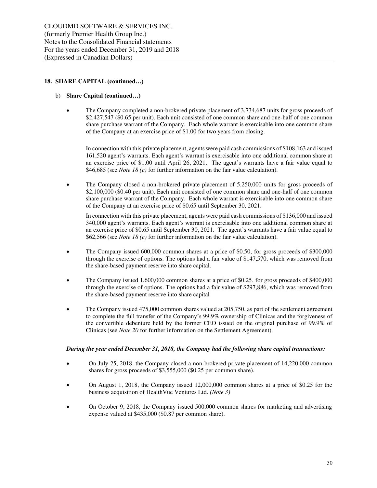# b) **Share Capital (continued…)**

• The Company completed a non-brokered private placement of 3,734,687 units for gross proceeds of \$2,427,547 (\$0.65 per unit). Each unit consisted of one common share and one-half of one common share purchase warrant of the Company. Each whole warrant is exercisable into one common share of the Company at an exercise price of \$1.00 for two years from closing.

In connection with this private placement, agents were paid cash commissions of \$108,163 and issued 161,520 agent's warrants. Each agent's warrant is exercisable into one additional common share at an exercise price of \$1.00 until April 26, 2021. The agent's warrants have a fair value equal to \$46,685 (see *Note 18 (c)* for further information on the fair value calculation).

• The Company closed a non-brokered private placement of 5,250,000 units for gross proceeds of \$2,100,000 (\$0.40 per unit). Each unit consisted of one common share and one-half of one common share purchase warrant of the Company. Each whole warrant is exercisable into one common share of the Company at an exercise price of \$0.65 until September 30, 2021.

In connection with this private placement, agents were paid cash commissions of \$136,000 and issued 340,000 agent's warrants. Each agent's warrant is exercisable into one additional common share at an exercise price of \$0.65 until September 30, 2021. The agent's warrants have a fair value equal to \$62,566 (see *Note 18 (c)* for further information on the fair value calculation).

- The Company issued 600,000 common shares at a price of \$0.50, for gross proceeds of \$300,000 through the exercise of options. The options had a fair value of \$147,570, which was removed from the share-based payment reserve into share capital.
- The Company issued 1,600,000 common shares at a price of \$0.25, for gross proceeds of \$400,000 through the exercise of options. The options had a fair value of \$297,886, which was removed from the share-based payment reserve into share capital
- The Company issued 475,000 common shares valued at 205,750, as part of the settlement agreement to complete the full transfer of the Company's 99.9% ownership of Clinicas and the forgiveness of the convertible debenture held by the former CEO issued on the original purchase of 99.9% of Clinicas (see *Note 20* for further information on the Settlement Agreement).

# *During the year ended December 31, 2018, the Company had the following share capital transactions:*

- On July 25, 2018, the Company closed a non-brokered private placement of 14,220,000 common shares for gross proceeds of \$3,555,000 (\$0.25 per common share).
- On August 1, 2018, the Company issued 12,000,000 common shares at a price of \$0.25 for the business acquisition of HealthVue Ventures Ltd. *(Note 3)*
- On October 9, 2018, the Company issued 500,000 common shares for marketing and advertising expense valued at \$435,000 (\$0.87 per common share).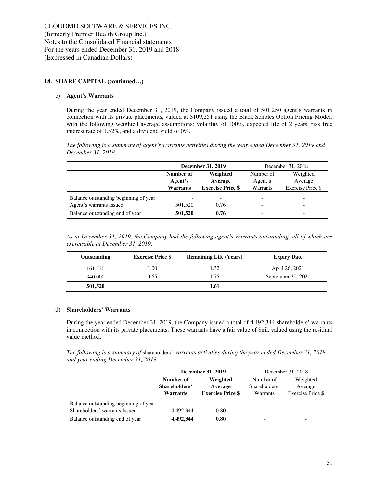## c) **Agent's Warrants**

During the year ended December 31, 2019, the Company issued a total of 501,250 agent's warrants in connection with its private placements, valued at \$109,251 using the Black Scholes Option Pricing Model, with the following weighted average assumptions: volatility of 100%, expected life of 2 years, risk free interest rate of 1.52%, and a dividend yield of 0%.

*The following is a summary of agent's warrants activities during the year ended December 31, 2019 and December 31, 2018:* 

|                                       |                                             | December 31, 2019        | December 31, 2018 |                          |  |
|---------------------------------------|---------------------------------------------|--------------------------|-------------------|--------------------------|--|
|                                       | Weighted<br>Number of<br>Agent's<br>Average |                          | Number of         | Weighted                 |  |
|                                       |                                             |                          | Agent's           | Average                  |  |
|                                       | Warrants                                    | <b>Exercise Price \$</b> | Warrants          | <b>Exercise Price \$</b> |  |
| Balance outstanding beginning of year |                                             | $\overline{\phantom{0}}$ |                   |                          |  |
| Agent's warrants Issued               | 501,520                                     | 0.76                     |                   |                          |  |
| Balance outstanding end of year       | 501,520                                     | 0.76                     | -                 |                          |  |

*As at December 31, 2019, the Company had the following agent's warrants outstanding, all of which are exercisable at December 31, 2019:* 

| Outstanding | <b>Exercise Price \$</b> | <b>Remaining Life (Years)</b> | <b>Expiry Date</b> |
|-------------|--------------------------|-------------------------------|--------------------|
| 161,520     | 1.00                     | 1.32                          | April 26, 2021     |
| 340,000     | 0.65                     | 1.75                          | September 30, 2021 |
| 501,520     |                          | 1.61                          |                    |

## d) **Shareholders' Warrants**

During the year ended December 31, 2019, the Company issued a total of 4,492,344 shareholders' warrants in connection with its private placements. These warrants have a fair value of \$nil, valued using the residual value method.

*The following is a summary of* shareholders' *warrants activities during the year ended December 31, 2018 and year ending December 31, 2019:* 

|                                       |                                                   | December 31, 2019        | December 31, 2018 |                          |  |
|---------------------------------------|---------------------------------------------------|--------------------------|-------------------|--------------------------|--|
|                                       | Weighted<br>Number of<br>Shareholders'<br>Average |                          | Number of         | Weighted                 |  |
|                                       |                                                   |                          | Shareholders'     | Average                  |  |
|                                       | Warrants                                          | <b>Exercise Price \$</b> | Warrants          | <b>Exercise Price \$</b> |  |
| Balance outstanding beginning of year | -                                                 | -                        |                   |                          |  |
| Shareholders' warrants Issued         | 4,492,344                                         | 0.80                     |                   |                          |  |
| Balance outstanding end of year       | 4,492,344                                         | 0.80                     |                   | $\overline{\phantom{0}}$ |  |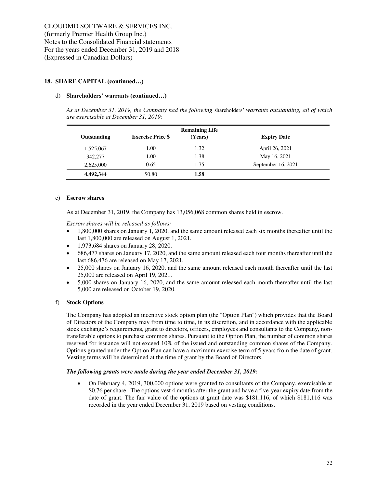## d) **Shareholders' warrants (continued…)**

*As at December 31, 2019, the Company had the following* shareholders' *warrants outstanding, all of which are exercisable at December 31, 2019:* 

| <b>Remaining Life</b> |                          |         |                    |  |  |  |
|-----------------------|--------------------------|---------|--------------------|--|--|--|
| Outstanding           | <b>Exercise Price \$</b> | (Years) | <b>Expiry Date</b> |  |  |  |
| 1,525,067             | 1.00                     | 1.32    | April 26, 2021     |  |  |  |
| 342,277               | 1.00                     | 1.38    | May 16, 2021       |  |  |  |
| 2,625,000             | 0.65                     | 1.75    | September 16, 2021 |  |  |  |
| 4,492,344             | \$0.80                   | 1.58    |                    |  |  |  |

#### e) **Escrow shares**

As at December 31, 2019, the Company has 13,056,068 common shares held in escrow.

*Escrow shares will be released as follows:* 

- 1,800,000 shares on January 1, 2020, and the same amount released each six months thereafter until the last 1,800,000 are released on August 1, 2021.
- 1,973,684 shares on January 28, 2020.
- 686,477 shares on January 17, 2020, and the same amount released each four months thereafter until the last 686,476 are released on May 17, 2021.
- 25,000 shares on January 16, 2020, and the same amount released each month thereafter until the last 25,000 are released on April 19, 2021.
- 5,000 shares on January 16, 2020, and the same amount released each month thereafter until the last 5,000 are released on October 19, 2020.

## f) **Stock Options**

The Company has adopted an incentive stock option plan (the "Option Plan") which provides that the Board of Directors of the Company may from time to time, in its discretion, and in accordance with the applicable stock exchange's requirements, grant to directors, officers, employees and consultants to the Company, nontransferable options to purchase common shares. Pursuant to the Option Plan, the number of common shares reserved for issuance will not exceed 10% of the issued and outstanding common shares of the Company. Options granted under the Option Plan can have a maximum exercise term of 5 years from the date of grant. Vesting terms will be determined at the time of grant by the Board of Directors.

#### *The following grants were made during the year ended December 31, 2019:*

• On February 4, 2019, 300,000 options were granted to consultants of the Company, exercisable at \$0.76 per share. The options vest 4 months after the grant and have a five-year expiry date from the date of grant. The fair value of the options at grant date was \$181,116, of which \$181,116 was recorded in the year ended December 31, 2019 based on vesting conditions.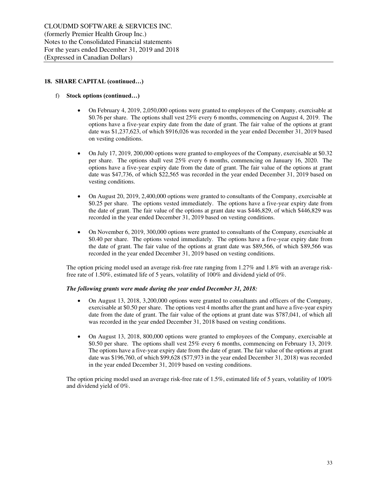# f) **Stock options (continued…)**

- On February 4, 2019, 2,050,000 options were granted to employees of the Company, exercisable at \$0.76 per share. The options shall vest 25% every 6 months, commencing on August 4, 2019. The options have a five-year expiry date from the date of grant. The fair value of the options at grant date was \$1,237,623, of which \$916,026 was recorded in the year ended December 31, 2019 based on vesting conditions.
- On July 17, 2019, 200,000 options were granted to employees of the Company, exercisable at \$0.32 per share. The options shall vest 25% every 6 months, commencing on January 16, 2020. The options have a five-year expiry date from the date of grant. The fair value of the options at grant date was \$47,736, of which \$22,565 was recorded in the year ended December 31, 2019 based on vesting conditions.
- On August 20, 2019, 2,400,000 options were granted to consultants of the Company, exercisable at \$0.25 per share. The options vested immediately. The options have a five-year expiry date from the date of grant. The fair value of the options at grant date was \$446,829, of which \$446,829 was recorded in the year ended December 31, 2019 based on vesting conditions.
- On November 6, 2019, 300,000 options were granted to consultants of the Company, exercisable at \$0.40 per share. The options vested immediately. The options have a five-year expiry date from the date of grant. The fair value of the options at grant date was \$89,566, of which \$89,566 was recorded in the year ended December 31, 2019 based on vesting conditions.

The option pricing model used an average risk-free rate ranging from 1.27% and 1.8% with an average riskfree rate of 1.50%, estimated life of 5 years, volatility of 100% and dividend yield of 0%.

#### *The following grants were made during the year ended December 31, 2018:*

- On August 13, 2018, 3,200,000 options were granted to consultants and officers of the Company, exercisable at \$0.50 per share. The options vest 4 months after the grant and have a five-year expiry date from the date of grant. The fair value of the options at grant date was \$787,041, of which all was recorded in the year ended December 31, 2018 based on vesting conditions.
- On August 13, 2018, 800,000 options were granted to employees of the Company, exercisable at \$0.50 per share. The options shall vest 25% every 6 months, commencing on February 13, 2019. The options have a five-year expiry date from the date of grant. The fair value of the options at grant date was \$196,760, of which \$99,628 (\$77,973 in the year ended December 31, 2018) was recorded in the year ended December 31, 2019 based on vesting conditions.

The option pricing model used an average risk-free rate of 1.5%, estimated life of 5 years, volatility of 100% and dividend yield of 0%.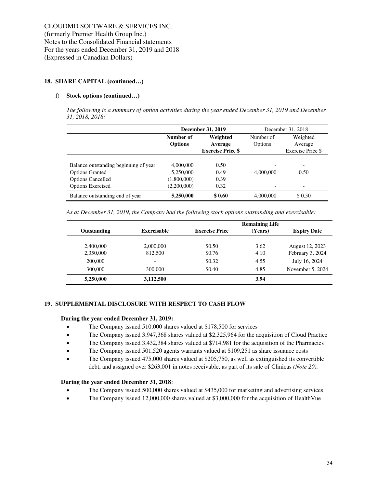# f) **Stock options (continued…)**

*The following is a summary of option activities during the year ended December 31, 2019 and December 31, 2018, 2018:* 

|                                       |                       | <b>December 31, 2019</b> | December 31, 2018 |                                  |  |
|---------------------------------------|-----------------------|--------------------------|-------------------|----------------------------------|--|
|                                       | Weighted<br>Number of |                          | Number of         | Weighted                         |  |
|                                       | <b>Options</b>        | Average                  | Options           | Average                          |  |
|                                       |                       | <b>Exercise Price \$</b> |                   | <b>Exercise Price \$</b>         |  |
| Balance outstanding beginning of year | 4,000,000             | 0.50                     |                   |                                  |  |
| <b>Options Granted</b>                | 5,250,000             | 0.49                     | 4,000,000         | $\overline{\phantom{0}}$<br>0.50 |  |
| <b>Options Cancelled</b>              | (1,800,000)           | 0.39                     |                   |                                  |  |
| <b>Options Exercised</b>              | (2,200,000)           | 0.32                     |                   | -                                |  |
| Balance outstanding end of year       | 5,250,000             | \$0.60                   | 4,000,000         | \$ 0.50                          |  |

*As at December 31, 2019, the Company had the following stock options outstanding and exercisable:* 

|             |                    |                       | <b>Remaining Life</b> |                    |
|-------------|--------------------|-----------------------|-----------------------|--------------------|
| Outstanding | <b>Exercisable</b> | <b>Exercise Price</b> | (Years)               | <b>Expiry Date</b> |
|             |                    |                       |                       |                    |
| 2,400,000   | 2,000,000          | \$0.50                | 3.62                  | August 12, 2023    |
| 2,350,000   | 812,500            | \$0.76                | 4.10                  | February 3, 2024   |
| 200,000     |                    | \$0.32                | 4.55                  | July 16, 2024      |
| 300,000     | 300,000            | \$0.40                | 4.85                  | November 5, 2024   |
| 5,250,000   | 3,112,500          |                       | 3.94                  |                    |

# **19. SUPPLEMENTAL DISCLOSURE WITH RESPECT TO CASH FLOW**

## **During the year ended December 31, 2019:**

- The Company issued 510,000 shares valued at \$178,500 for services
- The Company issued 3,947,368 shares valued at \$2,325,964 for the acquisition of Cloud Practice
- The Company issued 3,432,384 shares valued at \$714,981 for the acquisition of the Pharmacies
- The Company issued 501,520 agents warrants valued at \$109,251 as share issuance costs
- The Company issued 475,000 shares valued at \$205,750, as well as extinguished its convertible debt, and assigned over \$263,001 in notes receivable, as part of its sale of Clinicas *(Note 20).*

#### **During the year ended December 31, 2018**:

- The Company issued 500,000 shares valued at \$435,000 for marketing and advertising services
- The Company issued 12,000,000 shares valued at \$3,000,000 for the acquisition of HealthVue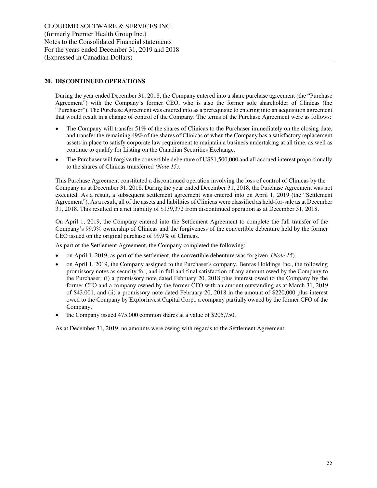# **20. DISCONTINUED OPERATIONS**

During the year ended December 31, 2018, the Company entered into a share purchase agreement (the "Purchase Agreement") with the Company's former CEO, who is also the former sole shareholder of Clinicas (the "Purchaser"). The Purchase Agreement was entered into as a prerequisite to entering into an acquisition agreement that would result in a change of control of the Company. The terms of the Purchase Agreement were as follows:

- The Company will transfer 51% of the shares of Clinicas to the Purchaser immediately on the closing date, and transfer the remaining 49% of the shares of Clinicas of when the Company has a satisfactory replacement assets in place to satisfy corporate law requirement to maintain a business undertaking at all time, as well as continue to qualify for Listing on the Canadian Securities Exchange.
- The Purchaser will forgive the convertible debenture of US\$1,500,000 and all accrued interest proportionally to the shares of Clinicas transferred *(Note 15).*

This Purchase Agreement constituted a discontinued operation involving the loss of control of Clinicas by the Company as at December 31, 2018. During the year ended December 31, 2018, the Purchase Agreement was not executed. As a result, a subsequent settlement agreement was entered into on April 1, 2019 (the "Settlement Agreement"). As a result, all of the assets and liabilities of Clinicas were classified as held-for-sale as at December 31, 2018. This resulted in a net liability of \$139,372 from discontinued operation as at December 31, 2018.

On April 1, 2019, the Company entered into the Settlement Agreement to complete the full transfer of the Company's 99.9% ownership of Clinicas and the forgiveness of the convertible debenture held by the former CEO issued on the original purchase of 99.9% of Clinicas.

As part of the Settlement Agreement, the Company completed the following:

- on April 1, 2019, as part of the settlement, the convertible debenture was forgiven. (*Note 15*),
- on April 1, 2019, the Company assigned to the Purchaser's company, Benras Holdings Inc., the following promissory notes as security for, and in full and final satisfaction of any amount owed by the Company to the Purchaser: (i) a promissory note dated February 20, 2018 plus interest owed to the Company by the former CFO and a company owned by the former CFO with an amount outstanding as at March 31, 2019 of \$43,001, and (ii) a promissory note dated February 20, 2018 in the amount of \$220,000 plus interest owed to the Company by Explorinvest Capital Corp., a company partially owned by the former CFO of the Company,
- the Company issued 475,000 common shares at a value of \$205,750.

As at December 31, 2019, no amounts were owing with regards to the Settlement Agreement.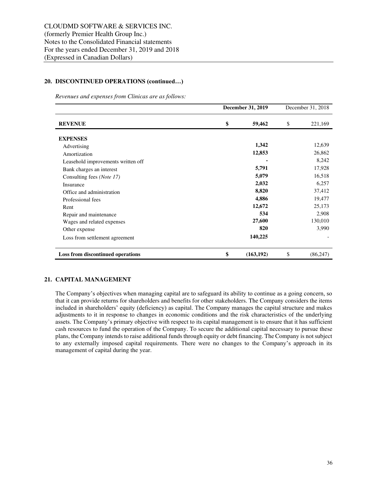## **20. DISCONTINUED OPERATIONS (continued…)**

*Revenues and expenses from Clinicas are as follows:* 

|                                    | <b>December 31, 2019</b> |    | December 31, 2018 |
|------------------------------------|--------------------------|----|-------------------|
| <b>REVENUE</b>                     | \$<br>59,462             |    | 221,169           |
| <b>EXPENSES</b>                    |                          |    |                   |
| Advertising                        | 1,342                    |    | 12,639            |
| Amortization                       | 12,853                   |    | 26,862            |
| Leasehold improvements written off |                          |    | 8,242             |
| Bank charges an interest           | 5,791                    |    | 17,928            |
| Consulting fees (Note 17)          | 5,079                    |    | 16,518            |
| Insurance                          | 2,032                    |    | 6,257             |
| Office and administration          | 8,820                    |    | 37,412            |
| Professional fees                  | 4,886                    |    | 19,477            |
| Rent                               | 12,672                   |    | 25,173            |
| Repair and maintenance             | 534                      |    | 2,908             |
| Wages and related expenses         | 27,600                   |    | 130,010           |
| Other expense                      | 820                      |    | 3,990             |
| Loss from settlement agreement     | 140,225                  |    |                   |
| Loss from discontinued operations  | \$<br>(163, 192)         | \$ | (86, 247)         |

# **21. CAPITAL MANAGEMENT**

The Company's objectives when managing capital are to safeguard its ability to continue as a going concern, so that it can provide returns for shareholders and benefits for other stakeholders. The Company considers the items included in shareholders' equity (deficiency) as capital. The Company manages the capital structure and makes adjustments to it in response to changes in economic conditions and the risk characteristics of the underlying assets. The Company's primary objective with respect to its capital management is to ensure that it has sufficient cash resources to fund the operation of the Company. To secure the additional capital necessary to pursue these plans, the Company intends to raise additional funds through equity or debt financing. The Company is not subject to any externally imposed capital requirements. There were no changes to the Company's approach in its management of capital during the year.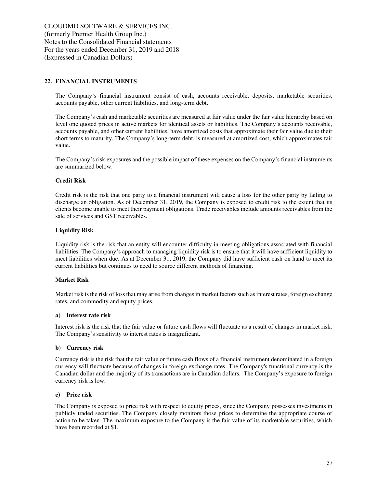# **22. FINANCIAL INSTRUMENTS**

The Company's financial instrument consist of cash, accounts receivable, deposits, marketable securities, accounts payable, other current liabilities, and long-term debt.

The Company's cash and marketable securities are measured at fair value under the fair value hierarchy based on level one quoted prices in active markets for identical assets or liabilities. The Company's accounts receivable, accounts payable, and other current liabilities, have amortized costs that approximate their fair value due to their short terms to maturity. The Company's long-term debt, is measured at amortized cost, which approximates fair value.

The Company's risk exposures and the possible impact of these expenses on the Company's financial instruments are summarized below:

#### **Credit Risk**

Credit risk is the risk that one party to a financial instrument will cause a loss for the other party by failing to discharge an obligation. As of December 31, 2019, the Company is exposed to credit risk to the extent that its clients become unable to meet their payment obligations. Trade receivables include amounts receivables from the sale of services and GST receivables.

## **Liquidity Risk**

Liquidity risk is the risk that an entity will encounter difficulty in meeting obligations associated with financial liabilities. The Company's approach to managing liquidity risk is to ensure that it will have sufficient liquidity to meet liabilities when due. As at December 31, 2019, the Company did have sufficient cash on hand to meet its current liabilities but continues to need to source different methods of financing.

# **Market Risk**

Market risk is the risk of loss that may arise from changes in market factors such as interest rates, foreign exchange rates, and commodity and equity prices.

#### **a) Interest rate risk**

Interest risk is the risk that the fair value or future cash flows will fluctuate as a result of changes in market risk. The Company's sensitivity to interest rates is insignificant.

#### **b) Currency risk**

Currency risk is the risk that the fair value or future cash flows of a financial instrument denominated in a foreign currency will fluctuate because of changes in foreign exchange rates. The Company's functional currency is the Canadian dollar and the majority of its transactions are in Canadian dollars. The Company's exposure to foreign currency risk is low.

#### **c) Price risk**

The Company is exposed to price risk with respect to equity prices, since the Company possesses investments in publicly traded securities. The Company closely monitors those prices to determine the appropriate course of action to be taken. The maximum exposure to the Company is the fair value of its marketable securities, which have been recorded at \$1.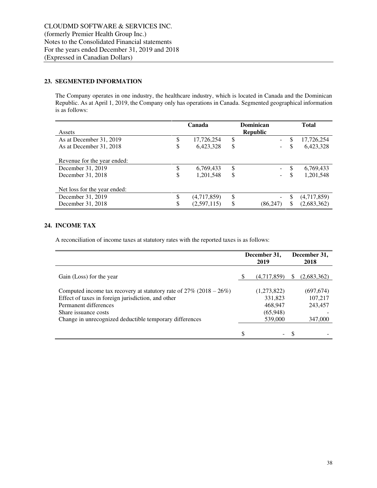# **23. SEGMENTED INFORMATION**

The Company operates in one industry, the healthcare industry, which is located in Canada and the Dominican Republic. As at April 1, 2019, the Company only has operations in Canada. Segmented geographical information is as follows:

|                               | Canada |             | Dominican       |   | <b>Total</b> |
|-------------------------------|--------|-------------|-----------------|---|--------------|
| Assets                        |        |             | <b>Republic</b> |   |              |
| As at December 31, 2019<br>\$ |        | 17,726,254  | \$<br>$\sim$    | S | 17,726,254   |
| As at December 31, 2018<br>\$ |        | 6,423,328   | \$              | S | 6,423,328    |
|                               |        |             |                 |   |              |
| Revenue for the year ended:   |        |             |                 |   |              |
| December 31, 2019<br>\$       |        | 6,769,433   | \$<br>$\sim$    | S | 6,769,433    |
| December 31, 2018<br>\$       |        | 1,201,548   | \$<br>Ξ.        |   | 1.201.548    |
|                               |        |             |                 |   |              |
| Net loss for the year ended:  |        |             |                 |   |              |
| \$<br>December 31, 2019       |        | (4,717,859) | \$              | S | (4,717,859)  |
| December 31, 2018<br>\$       |        | (2,597,115) | \$<br>(86, 247) | S | (2,683,362)  |

# **24. INCOME TAX**

A reconciliation of income taxes at statutory rates with the reported taxes is as follows:

|                                                                                                                                                                              | December 31,<br>2019 |                                               |   | December 31,<br>2018             |
|------------------------------------------------------------------------------------------------------------------------------------------------------------------------------|----------------------|-----------------------------------------------|---|----------------------------------|
| Gain (Loss) for the year                                                                                                                                                     |                      | (4,717,859)                                   | S | (2,683,362)                      |
| Computed income tax recovery at statutory rate of $27\%$ (2018 – 26%)<br>Effect of taxes in foreign jurisdiction, and other<br>Permanent differences<br>Share issuance costs |                      | (1,273,822)<br>331,823<br>468,947<br>(65,948) |   | (697, 674)<br>107,217<br>243,457 |
| Change in unrecognized deductible temporary differences                                                                                                                      |                      | 539,000                                       |   | 347,000                          |
|                                                                                                                                                                              | \$                   | ۰                                             |   |                                  |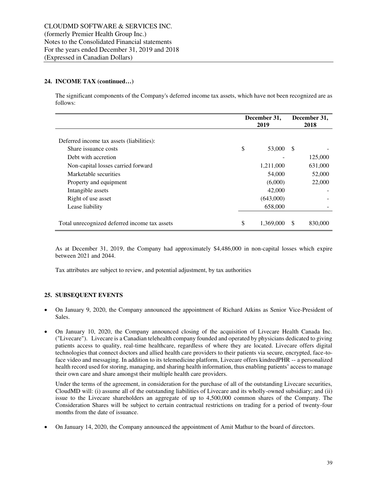# **24. INCOME TAX (continued…)**

The significant components of the Company's deferred income tax assets, which have not been recognized are as follows:

|                                               | December 31,<br>2019 | December 31,<br>2018 |         |
|-----------------------------------------------|----------------------|----------------------|---------|
| Deferred income tax assets (liabilities):     |                      |                      |         |
| Share issuance costs                          | \$<br>53,000         | \$                   |         |
| Debt with accretion                           |                      |                      | 125,000 |
| Non-capital losses carried forward            | 1,211,000            |                      | 631,000 |
| Marketable securities                         | 54,000               |                      | 52,000  |
| Property and equipment                        | (6,000)              |                      | 22,000  |
| Intangible assets                             | 42,000               |                      |         |
| Right of use asset                            | (643,000)            |                      |         |
| Lease liability                               | 658,000              |                      |         |
| Total unrecognized deferred income tax assets | \$<br>1,369,000      | -S                   | 830,000 |

As at December 31, 2019, the Company had approximately \$4,486,000 in non-capital losses which expire between 2021 and 2044.

Tax attributes are subject to review, and potential adjustment, by tax authorities

# **25. SUBSEQUENT EVENTS**

- On January 9, 2020, the Company announced the appointment of Richard Atkins as Senior Vice-President of Sales.
- On January 10, 2020, the Company announced closing of the acquisition of Livecare Health Canada Inc. ("Livecare"). Livecare is a Canadian telehealth company founded and operated by physicians dedicated to giving patients access to quality, real-time healthcare, regardless of where they are located. Livecare offers digital technologies that connect doctors and allied health care providers to their patients via secure, encrypted, face-toface video and messaging. In addition to its telemedicine platform, Livecare offers kindredPHR -- a personalized health record used for storing, managing, and sharing health information, thus enabling patients' access to manage their own care and share amongst their multiple health care providers.

Under the terms of the agreement, in consideration for the purchase of all of the outstanding Livecare securities, CloudMD will: (i) assume all of the outstanding liabilities of Livecare and its wholly-owned subsidiary; and (ii) issue to the Livecare shareholders an aggregate of up to 4,500,000 common shares of the Company. The Consideration Shares will be subject to certain contractual restrictions on trading for a period of twenty-four months from the date of issuance.

• On January 14, 2020, the Company announced the appointment of Amit Mathur to the board of directors.